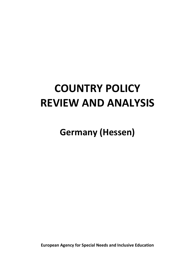# **COUNTRY POLICY REVIEW AND ANALYSIS**

**Germany (Hessen)**

**European Agency for Special Needs and Inclusive Education**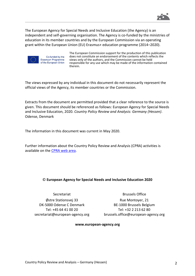

The European Agency for Special Needs and Inclusive Education (the Agency) is an independent and self-governing organisation. The Agency is co-funded by the ministries of education in its member countries and by the European Commission via an operating grant within the European Union (EU) Erasmus+ education programme (2014–2020).



Co-funded by the Erasmus+ Programme of the European Union

The European Commission support for the production of this publication does not constitute an endorsement of the contents which reflects the views only of the authors, and the Commission cannot be held responsible for any use which may be made of the information contained therein.

The views expressed by any individual in this document do not necessarily represent the official views of the Agency, its member countries or the Commission.

Extracts from the document are permitted provided that a clear reference to the source is given. This document should be referenced as follows: European Agency for Special Needs and Inclusive Education, 2020. *Country Policy Review and Analysis: Germany (Hessen)*. Odense, Denmark

The information in this document was current in May 2020.

Further information about the Country Policy Review and Analysis (CPRA) activities is available on the [CPRA web area.](https://www.european-agency.org/projects/country-policy-review-and-analysis)

#### © **European Agency for Special Needs and Inclusive Education 2020**

Secretariat Østre Stationsvej 33 DK-5000 Odense C Denmark Tel: +45 64 41 00 20 [secretariat@european-agency.org](mailto:secretariat@european-agency.org)

Brussels Office Rue Montoyer, 21 BE-1000 Brussels Belgium Tel: +32 2 213 62 80 [brussels.office@european-agency.org](mailto:brussels.office@european-agency.org)

#### **[www.european-agency.org](http://www.european-agency.org/)**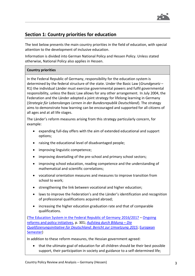

# **Section 1: Country priorities for education**

The text below presents the main country priorities in the field of education, with special attention to the development of inclusive education.

Information is divided into German National Policy and Hessen Policy. Unless stated otherwise, National Policy also applies in Hessen.

# **Country priorities**

In the Federal Republic of Germany, responsibility for the education system is determined by the federal structure of the state. Under the Basic Law (*Grundgesetz* – R1) the individual Länder must exercise governmental powers and fulfil governmental responsibility, unless the Basic Law allows for any other arrangement. In July 2004, the Federation and the Länder adopted a joint strategy for lifelong learning in Germany (*Strategie für Lebenslanges Lernen in der Bundesrepublik Deutschland*). The strategy aims to demonstrate how learning can be encouraged and supported for all citizens of all ages and at all life stages.

The Länder's reform measures arising from this strategy particularly concern, for example:

- expanding full-day offers with the aim of extended educational and support options;
- raising the educational level of disadvantaged people;
- improving linguistic competence;
- improving dovetailing of the pre-school and primary school sectors;
- improving school education, reading competence and the understanding of mathematical and scientific correlations;
- vocational orientation measures and measures to improve transition from school to work;
- strengthening the link between vocational and higher education;
- laws to improve the Federation's and the Länder's identification and recognition of professional qualifications acquired abroad;
- increasing the higher education graduation rate and that of comparable qualifications.

[\(The Education System in the Federal Republic of Germany 2016/2017](https://www.kmk.org/dokumentation-statistik/informationen-zum-deutschen-bildungssystem/dossier-englisch.html) – [Ongoing](https://www.kmk.org/fileadmin/Dateien/pdf/Eurydice/Bildungswesen-engl-pdfs/reforms.pdf)  [reforms and policy initiatives,](https://www.kmk.org/fileadmin/Dateien/pdf/Eurydice/Bildungswesen-engl-pdfs/reforms.pdf) p. 301; *[Aufstieg durch Bildung](https://www.gwk-bonn.de/fileadmin/Redaktion/Dokumente/Papers/Qualifizierungsinitiative-Umsetzungsbericht-2015.pdf) – Die [Qualifizierungsinitiative für Deutschland: Bericht zur Umsetzung 2015](https://www.gwk-bonn.de/fileadmin/Redaktion/Dokumente/Papers/Qualifizierungsinitiative-Umsetzungsbericht-2015.pdf)*[; European](http://ec.europa.eu/europe2020/pdf/csr2015/nrp2015_germany_en.pdf)  [Semester\)](http://ec.europa.eu/europe2020/pdf/csr2015/nrp2015_germany_en.pdf)

In addition to these reform measures, the Hessian government agreed:

• that the ultimate goal of education for all children should be their best possible support, their participation in society and guidance to a self-determined life;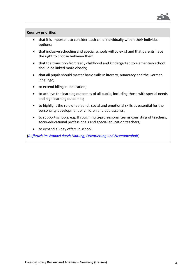

#### **Country priorities**

- that it is important to consider each child individually within their individual options;
- that inclusive schooling and special schools will co-exist and that parents have the right to choose between them;
- that the transition from early childhood and kindergarten to elementary school should be linked more closely;
- that all pupils should master basic skills in literacy, numeracy and the German language;
- to extend bilingual education;
- to achieve the learning outcomes of all pupils, including those with special needs and high learning outcomes;
- to highlight the role of personal, social and emotional skills as essential for the personality development of children and adolescents;
- to support schools, e.g. through multi-professional teams consisting of teachers, socio-educational professionals and special education teachers;
- to expand all-day offers in school.

(*[Aufbruch im Wandel durch Haltung, Orientierung und Zusammenhalt](https://www.hessen.de/sites/default/files/media/staatskanzlei/koalitionsvertrag_20._wahlperiode.pdf)*)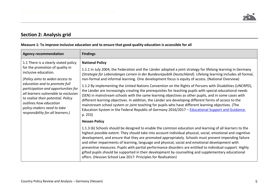# **Section 2: Analysis grid**

|  |  | Measure 1: To improve inclusive education and to ensure that good quality education is accessible for all |
|--|--|-----------------------------------------------------------------------------------------------------------|
|--|--|-----------------------------------------------------------------------------------------------------------|

| <b>Agency recommendation</b>                                                                                                                                                                                                                                                                                                                                                          | <b>Findings</b>                                                                                                                                                                                                                                                                                                                                                                                                                                                                                                                                                                                                                                                                                                                                                                                                                                                                                                                                                                                                              |
|---------------------------------------------------------------------------------------------------------------------------------------------------------------------------------------------------------------------------------------------------------------------------------------------------------------------------------------------------------------------------------------|------------------------------------------------------------------------------------------------------------------------------------------------------------------------------------------------------------------------------------------------------------------------------------------------------------------------------------------------------------------------------------------------------------------------------------------------------------------------------------------------------------------------------------------------------------------------------------------------------------------------------------------------------------------------------------------------------------------------------------------------------------------------------------------------------------------------------------------------------------------------------------------------------------------------------------------------------------------------------------------------------------------------------|
| 1.1 There is a clearly stated policy<br>for the promotion of quality in<br>inclusive education.<br>(Policy aims to widen access to<br>education and to promote full<br>participation and opportunities for<br>all learners vulnerable to exclusion<br>to realise their potential. Policy<br>outlines how education<br>policy-makers need to take<br>responsibility for all learners.) | <b>National Policy</b><br>1.1.1 In July 2004, the Federation and the Länder adopted a joint strategy for lifelong learning in Germany<br>(Strategie für Lebenslanges Lernen in der Bundesrepublik Deutschland). Lifelong learning includes all formal,<br>non-formal and informal learning. One development focus is equity of access. (National Overview)<br>1.1.2 By implementing the United Nations Convention on the Rights of Persons with Disabilities (UNCRPD),<br>the Länder are increasingly creating the prerequisites for teaching pupils with special educational needs<br>(SEN) in mainstream schools with the same learning objectives as other pupils, and in some cases with<br>different learning objectives. In addition, the Länder are developing different forms of access to the<br>mainstream school system or joint teaching for pupils who have different learning objectives. (The<br>Education System in the Federal Republic of Germany 2016/2017 - Educational Support and Guidance,<br>p. 253) |
|                                                                                                                                                                                                                                                                                                                                                                                       | <b>Hessen Policy</b>                                                                                                                                                                                                                                                                                                                                                                                                                                                                                                                                                                                                                                                                                                                                                                                                                                                                                                                                                                                                         |
|                                                                                                                                                                                                                                                                                                                                                                                       | 1.1.3 (6) Schools should be designed to enable the common education and learning of all learners to the<br>highest possible extent. They should take into account individual physical, social, emotional and cognitive<br>development, and ensure that they are promoted appropriately. Schools must prevent impending failure<br>and other impairments of learning, language and physical, social and emotional development with<br>preventive measures. Pupils with partial performance disorders are entitled to individual support. Highly<br>gifted pupils should be supported in their development by counselling and supplementary educational<br>offers. (Hessian School Law 2017: Principles for Realisation)                                                                                                                                                                                                                                                                                                       |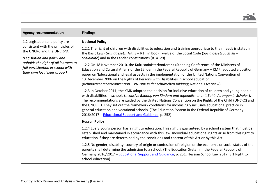

| <b>Agency recommendation</b>                                                                                                                                                                                                                 | <b>Findings</b>                                                                                                                                                                                                                                                                                                                                                                                                                                                                                                                                                                                                                                                                                                                                                                                                                                                                                                                                                                                                                           |
|----------------------------------------------------------------------------------------------------------------------------------------------------------------------------------------------------------------------------------------------|-------------------------------------------------------------------------------------------------------------------------------------------------------------------------------------------------------------------------------------------------------------------------------------------------------------------------------------------------------------------------------------------------------------------------------------------------------------------------------------------------------------------------------------------------------------------------------------------------------------------------------------------------------------------------------------------------------------------------------------------------------------------------------------------------------------------------------------------------------------------------------------------------------------------------------------------------------------------------------------------------------------------------------------------|
| 1.2 Legislation and policy are<br>consistent with the principles of<br>the UNCRC and the UNCRPD.<br>(Legislation and policy and<br>upholds the right of all learners to<br>full participation in school with<br>their own local peer group.) | <b>National Policy</b><br>1.2.1 The right of children with disabilities to education and training appropriate to their needs is stated in<br>the Basic Law (Grundgesetz, Art. $3 - R1$ ), in Book Twelve of the Social Code (Sozialgesetzbuch XII -<br>Sozialhilfe) and in the Länder constitutions (R14-29).<br>1.2.2 On 18 November 2010, the Kultusministerkonferenz (Standing Conference of the Ministers of<br>Education and Cultural Affairs of the Länder in the Federal Republic of Germany - KMK) adopted a position<br>paper on 'Educational and legal aspects in the implementation of the United Nations Convention of<br>13 December 2006 on the Rights of Persons with Disabilities in school education'<br>(Behindertenrechtskonvention - VN-BRK in der schulischen Bildung; National Overview)<br>1.2.3 In October 2011, the KMK adopted the decision for inclusive education of children and young people<br>with disabilities in schools (Inklusive Bildung von Kindern und Jugendlichen mit Behinderungen in Schulen). |
|                                                                                                                                                                                                                                              | The recommendations are guided by the United Nations Convention on the Rights of the Child (UNCRC) and<br>the UNCRPD. They set out the framework conditions for increasingly inclusive educational practice in<br>general education and vocational schools. (The Education System in the Federal Republic of Germany<br>2016/2017 - Educational Support and Guidance, p. 252)                                                                                                                                                                                                                                                                                                                                                                                                                                                                                                                                                                                                                                                             |
|                                                                                                                                                                                                                                              | <b>Hessen Policy</b>                                                                                                                                                                                                                                                                                                                                                                                                                                                                                                                                                                                                                                                                                                                                                                                                                                                                                                                                                                                                                      |
|                                                                                                                                                                                                                                              | 1.2.4 Every young person has a right to education. This right is guaranteed by a school system that must be<br>established and maintained in accordance with this law. Individual educational rights arise from this right to<br>education if they are determined by the conditions and content of this Act or by this Act.                                                                                                                                                                                                                                                                                                                                                                                                                                                                                                                                                                                                                                                                                                               |
|                                                                                                                                                                                                                                              | 1.2.5 No gender, disability, country of origin or confession of religion or the economic or social status of the<br>parents shall determine the admission to a school. (The Education System in the Federal Republic of<br>Germany 2016/2017 - Educational Support and Guidance, p. 251; Hessian School Law 2017: § 1 Right to<br>school education)                                                                                                                                                                                                                                                                                                                                                                                                                                                                                                                                                                                                                                                                                       |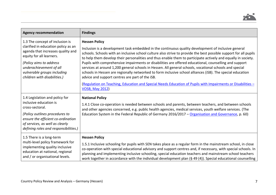

| <b>Agency recommendation</b>                                                                                                                                                                                                                                 | <b>Findings</b>                                                                                                                                                                                                                                                                                                                                                                                                                                                                                                                                                                                                                                                                                                                                                                                                                                                                                  |
|--------------------------------------------------------------------------------------------------------------------------------------------------------------------------------------------------------------------------------------------------------------|--------------------------------------------------------------------------------------------------------------------------------------------------------------------------------------------------------------------------------------------------------------------------------------------------------------------------------------------------------------------------------------------------------------------------------------------------------------------------------------------------------------------------------------------------------------------------------------------------------------------------------------------------------------------------------------------------------------------------------------------------------------------------------------------------------------------------------------------------------------------------------------------------|
| 1.3 The concept of inclusion is<br>clarified in education policy as an<br>agenda that increases quality and<br>equity for all learners.<br>(Policy aims to address<br>underachievement of all<br>vulnerable groups including<br>children with disabilities.) | <b>Hessen Policy</b><br>Inclusion is a development task embedded in the continuous quality development of inclusive general<br>schools. Schools with an inclusive school culture also strive to provide the best possible support for all pupils<br>to help them develop their personalities and thus enable them to participate actively and equally in society.<br>Pupils with comprehensive impairments or disabilities are offered educational, counselling and support<br>services at around 1,200 general schools in Hessen. All general schools, vocational schools and special<br>schools in Hessen are regionally networked to form inclusive school alliances (iSB). The special education<br>advice and support centres are part of the iSB.<br>(Regulation on Teaching, Education and Special Needs Education of Pupils with Impairments or Disabilities -<br><b>VOSB, May 2012)</b> |
| 1.4 Legislation and policy for<br>inclusive education is<br>cross-sectoral.<br>(Policy outlines procedures to<br>ensure the efficient co-ordination<br>of services, as well as clearly<br>defining roles and responsibilities.)                              | <b>National Policy</b><br>1.4.1 Close co-operation is needed between schools and parents, between teachers, and between schools<br>and other agencies concerned, e.g. public health agencies, medical services, youth welfare services. (The<br>Education System in the Federal Republic of Germany 2016/2017 - Organisation and Governance, p. 60)                                                                                                                                                                                                                                                                                                                                                                                                                                                                                                                                              |
| 1.5 There is a long-term<br>multi-level policy framework for<br>implementing quality inclusive<br>education at national, regional<br>and / or organisational levels.                                                                                         | <b>Hessen Policy</b><br>1.5.1 Inclusive schooling for pupils with SEN takes place as a regular form in the mainstream school, in close<br>co-operation with special educational advisory and support centres and, if necessary, with special schools. In<br>planning and implementing inclusive schooling, special education teachers and mainstream school teachers<br>work together in accordance with the individual development plan (§ 49 (4)). Special educational counselling                                                                                                                                                                                                                                                                                                                                                                                                             |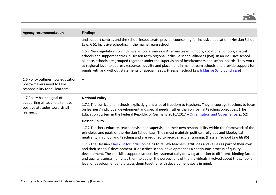

| <b>Agency recommendation</b>                                                                        | <b>Findings</b>                                                                                                                                                                                                                                                                                                                                                                                                                                                                                                                                             |
|-----------------------------------------------------------------------------------------------------|-------------------------------------------------------------------------------------------------------------------------------------------------------------------------------------------------------------------------------------------------------------------------------------------------------------------------------------------------------------------------------------------------------------------------------------------------------------------------------------------------------------------------------------------------------------|
|                                                                                                     | and support centres and the school inspectorate provide counselling for inclusive education. (Hessian School<br>Law: § 51 Inclusive schooling in the mainstream school)                                                                                                                                                                                                                                                                                                                                                                                     |
|                                                                                                     | 1.5.2 New regulations on inclusive school alliances - All mainstream schools, vocational schools, special<br>schools and support centres in Hessen form regional inclusive school alliances (iSB). In an inclusive school<br>alliance, schools are grouped together under the supervision of headteachers and school boards. They work<br>at regional level to address resources, quality and placement in mainstream schools and provide support for<br>pupils with and without statements of special needs. (Hessian School Law Inklusive Schulbündnisse) |
| 1.6 Policy outlines how education<br>policy-makers need to take<br>responsibility for all learners. |                                                                                                                                                                                                                                                                                                                                                                                                                                                                                                                                                             |
| 1.7 Policy has the goal of                                                                          | <b>National Policy</b>                                                                                                                                                                                                                                                                                                                                                                                                                                                                                                                                      |
| supporting all teachers to have<br>positive attitudes towards all<br>learners.                      | 1.7.1 The curricula for schools explicitly grant a lot of freedom to teachers. They encourage teachers to focus<br>on learners' individual development and special needs, rather than on formal teaching objectives. (The<br>Education System in the Federal Republic of Germany 2016/2017 - Organisation and Governance, p. 52)                                                                                                                                                                                                                            |
|                                                                                                     | <b>Hessen Policy</b>                                                                                                                                                                                                                                                                                                                                                                                                                                                                                                                                        |
|                                                                                                     | 1.7.2 Teachers educate, teach, advise and supervise on their own responsibility within the framework of the<br>principles and goals of the Hessian School Law. They must maintain political, religious and ideological<br>neutrality in school and teaching and are required to receive regular training. (Hessian School Law §§ 86)                                                                                                                                                                                                                        |
|                                                                                                     | 1.7.3 The Hessian Checklist for Inclusion helps to review teachers' attitudes and values as part of their own<br>and their schools' development. It describes school development as a continuous process of quality<br>development. The checklist supports schools by systematically drawing attention to different, binding facets<br>and quality aspects. It invites them to gather the perceptions of the individuals involved about the school's<br>level of development and discuss them together with development goals in mind.                      |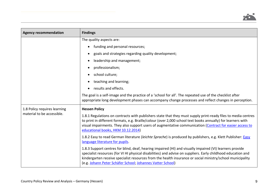

| <b>Agency recommendation</b> | <b>Findings</b>                                                                                                                                                                                                                                                                                                                                                                                       |
|------------------------------|-------------------------------------------------------------------------------------------------------------------------------------------------------------------------------------------------------------------------------------------------------------------------------------------------------------------------------------------------------------------------------------------------------|
|                              | The quality aspects are:                                                                                                                                                                                                                                                                                                                                                                              |
|                              | funding and personal resources;<br>$\bullet$                                                                                                                                                                                                                                                                                                                                                          |
|                              | goals and strategies regarding quality development;<br>$\bullet$                                                                                                                                                                                                                                                                                                                                      |
|                              | leadership and management;<br>$\bullet$                                                                                                                                                                                                                                                                                                                                                               |
|                              | professionalism;                                                                                                                                                                                                                                                                                                                                                                                      |
|                              | school culture;<br>$\bullet$                                                                                                                                                                                                                                                                                                                                                                          |
|                              | teaching and learning;<br>$\bullet$                                                                                                                                                                                                                                                                                                                                                                   |
|                              | results and effects.<br>$\bullet$                                                                                                                                                                                                                                                                                                                                                                     |
|                              | The goal is a self-image and the practice of a 'school for all'. The repeated use of the checklist after<br>appropriate long development phases can accompany change processes and reflect changes in perception.                                                                                                                                                                                     |
| 1.8 Policy requires learning | <b>Hessen Policy</b>                                                                                                                                                                                                                                                                                                                                                                                  |
| material to be accessible.   | 1.8.1 Regulations on contracts with publishers state that they must supply print-ready files to media centres<br>to print in different formats, e.g. Braille/colour (over 2,000 school text books annually) for learners with<br>visual impairments. They also support users of augmentative communication (Contract for easier access to<br>educational books, HKM 10.12.2014)                       |
|                              | 1.8.2 Easy to read German literature (leichte Sprache) is produced by publishers, e.g. Klett Publisher: Easy<br>language literature for pupils.                                                                                                                                                                                                                                                       |
|                              | 1.8.3 Support centres for blind, deaf, hearing impaired (HI) and visually impaired (VI) learners provide<br>specialist resources (for VI HI physical disabilities) and advise on suppliers. Early childhood education and<br>kindergarten receive specialist resources from the health insurance or social ministry/school municipality<br>(e.g. Johann Peter Schäfer School; Johannes Vatter School) |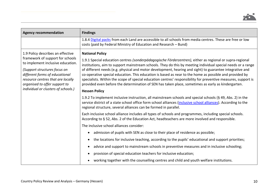

| <b>Agency recommendation</b>                                                                                                                                                                                                                                                              | <b>Findings</b>                                                                                                                                                                                                                                                                                                                                                                                                                                                                                                                                                                                                                                                                                                                                                                                                                                                                                                                                                                                                                                                                                                                                                                                                                                                                                 |
|-------------------------------------------------------------------------------------------------------------------------------------------------------------------------------------------------------------------------------------------------------------------------------------------|-------------------------------------------------------------------------------------------------------------------------------------------------------------------------------------------------------------------------------------------------------------------------------------------------------------------------------------------------------------------------------------------------------------------------------------------------------------------------------------------------------------------------------------------------------------------------------------------------------------------------------------------------------------------------------------------------------------------------------------------------------------------------------------------------------------------------------------------------------------------------------------------------------------------------------------------------------------------------------------------------------------------------------------------------------------------------------------------------------------------------------------------------------------------------------------------------------------------------------------------------------------------------------------------------|
|                                                                                                                                                                                                                                                                                           | 1.8.4 Digital packs from each Land are accessible to all schools from media centres. These are free or low<br>costs (paid by Federal Ministry of Education and Research – Bund)                                                                                                                                                                                                                                                                                                                                                                                                                                                                                                                                                                                                                                                                                                                                                                                                                                                                                                                                                                                                                                                                                                                 |
| 1.9 Policy describes an effective<br>framework of support for schools<br>to implement inclusive education.<br>(Support structures focus on<br>different forms of educational<br>resource centres that are locally<br>organised to offer support to<br>individual or clusters of schools.) | <b>National Policy</b><br>1.9.1 Special education centres <i>(sonderpädagogische Förderzentren)</i> , either as regional or supra-regional<br>institutions, aim to support mainstream schools. They do this by meeting individual special needs or a range<br>of different needs (e.g. physical and motor development, hearing and sight) to guarantee integrative and<br>co-operative special education. This education is based as near to the home as possible and provided by<br>specialists. Within the scope of special education centres' responsibility for preventive measures, support is<br>provided even before the determination of SEN has taken place, sometimes as early as kindergarten.<br><b>Hessen Policy</b><br>1.9.2 To implement inclusive instruction, all mainstream schools and special schools (§ 49, Abs. 2) in the<br>service district of a state school office form school alliances (inclusive school alliances). According to the<br>regional structure, several alliances can be formed in parallel.<br>Each inclusive school alliance includes all types of schools and programmes, including special schools.<br>According to § 52, Abs. 2 of the Education Act, headteachers are more involved and responsible.<br>The inclusive school alliances consider: |
|                                                                                                                                                                                                                                                                                           | admission of pupils with SEN as close to their place of residence as possible;<br>$\bullet$<br>the locations for inclusive teaching, according to the pupils' educational and support priorities;<br>$\bullet$                                                                                                                                                                                                                                                                                                                                                                                                                                                                                                                                                                                                                                                                                                                                                                                                                                                                                                                                                                                                                                                                                  |
|                                                                                                                                                                                                                                                                                           | advice and support to mainstream schools in preventive measures and in inclusive schooling;<br>$\bullet$                                                                                                                                                                                                                                                                                                                                                                                                                                                                                                                                                                                                                                                                                                                                                                                                                                                                                                                                                                                                                                                                                                                                                                                        |
|                                                                                                                                                                                                                                                                                           | provision of special education teachers for inclusive education;<br>$\bullet$<br>working together with the counselling centres and child and youth welfare institutions.<br>$\bullet$                                                                                                                                                                                                                                                                                                                                                                                                                                                                                                                                                                                                                                                                                                                                                                                                                                                                                                                                                                                                                                                                                                           |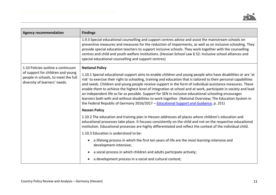

| <b>Agency recommendation</b>                                                                                                                   | <b>Findings</b>                                                                                                                                                                                                                                                                                                                                                                                                                                                                                                                                                                                                                                                                                                                                                                                            |
|------------------------------------------------------------------------------------------------------------------------------------------------|------------------------------------------------------------------------------------------------------------------------------------------------------------------------------------------------------------------------------------------------------------------------------------------------------------------------------------------------------------------------------------------------------------------------------------------------------------------------------------------------------------------------------------------------------------------------------------------------------------------------------------------------------------------------------------------------------------------------------------------------------------------------------------------------------------|
|                                                                                                                                                | 1.9.3 Special educational counselling and support centres advise and assist the mainstream schools on<br>preventive measures and measures for the reduction of impairments, as well as on inclusive schooling. They<br>provide special education teachers to support inclusive schools. They work together with the counselling<br>centres and child and youth welfare institutions. (Hessian School Law § 52: Inclusive school alliances and<br>special educational counselling and support centres)                                                                                                                                                                                                                                                                                                      |
| 1.10 Policies outline a continuum<br>of support for children and young<br>people in schools, to meet the full<br>diversity of learners' needs. | <b>National Policy</b><br>1.10.1 Special educational support aims to enable children and young people who have disabilities or are 'at<br>risk' to exercise their right to schooling, training and education that is tailored to their personal capabilities<br>and needs. Children and young people receive support in the form of individual assistance measures. These<br>enable them to achieve the highest level of integration at school and at work, participate in society and lead<br>an independent life as far as possible. Support for SEN in inclusive educational schooling encourages<br>learners both with and without disabilities to work together. (National Overview; The Education System in<br>the Federal Republic of Germany 2016/2017 - Educational Support and Guidance, p. 251) |
|                                                                                                                                                | <b>Hessen Policy</b>                                                                                                                                                                                                                                                                                                                                                                                                                                                                                                                                                                                                                                                                                                                                                                                       |
|                                                                                                                                                | 1.10.2 The education and training plan in Hessen addresses all places where children's education and<br>educational processes take place. It focuses consistently on the child and not on the respective educational<br>institution. Educational processes are highly differentiated and reflect the context of the individual child.                                                                                                                                                                                                                                                                                                                                                                                                                                                                      |
|                                                                                                                                                | 1.10.3 Education is understood to be:                                                                                                                                                                                                                                                                                                                                                                                                                                                                                                                                                                                                                                                                                                                                                                      |
|                                                                                                                                                | a lifelong process in which the first ten years of life are the most learning-intensive and<br>development-intensive;                                                                                                                                                                                                                                                                                                                                                                                                                                                                                                                                                                                                                                                                                      |
|                                                                                                                                                | a social process in which children and adults participate actively;<br>$\bullet$                                                                                                                                                                                                                                                                                                                                                                                                                                                                                                                                                                                                                                                                                                                           |
|                                                                                                                                                | a development process in a social and cultural context;                                                                                                                                                                                                                                                                                                                                                                                                                                                                                                                                                                                                                                                                                                                                                    |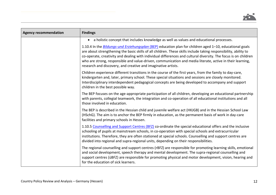

| <b>Agency recommendation</b> | <b>Findings</b>                                                                                                                                                                                                                                                                                                                                                                                                                                                                                                                      |
|------------------------------|--------------------------------------------------------------------------------------------------------------------------------------------------------------------------------------------------------------------------------------------------------------------------------------------------------------------------------------------------------------------------------------------------------------------------------------------------------------------------------------------------------------------------------------|
|                              | a holistic concept that includes knowledge as well as values and educational processes.<br>$\bullet$                                                                                                                                                                                                                                                                                                                                                                                                                                 |
|                              | 1.10.4 In the <b>Bildungs-und Erziehungsplan (BEP)</b> education plan for children aged 1-10, educational goals<br>are about strengthening the basic skills of all children. These skills include taking responsibility, ability to<br>co-operate, creativity and dealing with individual differences and cultural diversity. The focus is on children<br>who are strong, responsible and value-driven, communication and media literate, active in their learning,<br>research and discovery, and creative and imaginative artists. |
|                              | Children experience different transitions in the course of the first years, from the family to day-care,<br>kindergarten and, later, primary school. These special situations and sessions are closely monitored.<br>Interdisciplinary interdependent pedagogical concepts are being developed to accompany and support<br>children in the best possible way.                                                                                                                                                                        |
|                              | The BEP focuses on the age-appropriate participation of all children, developing an educational partnership<br>with parents, collegial teamwork, the integration and co-operation of all educational institutions and all<br>those involved in education.                                                                                                                                                                                                                                                                            |
|                              | The BEP is described in the Hessian child and juvenile welfare act (HKJGB) and in the Hessian School Law<br>(HSchG). The aim is to anchor the BEP firmly in education, as the permanent basis of work in day-care<br>facilities and primary schools in Hessen.                                                                                                                                                                                                                                                                       |
|                              | 1.10.5 Counselling and Support Centres (BFZ) co-ordinate the special educational offers and the inclusive<br>schooling of pupils at mainstream schools, in co-operation with special schools and extracurricular<br>institutions. Therefore, they are often stationed at special schools. Counselling and support centres are<br>divided into regional and supra-regional units, depending on their responsibilities.                                                                                                                |
|                              | The regional counselling and support centres (rBFZ) are responsible for promoting learning skills, emotional<br>and social development, speech therapy and mental development. The supra-regional counselling and<br>support centres (üBFZ) are responsible for promoting physical and motor development, vision, hearing and<br>for the education of sick learners.                                                                                                                                                                 |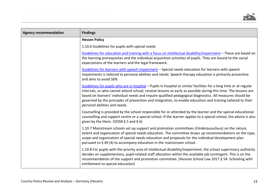

| <b>Agency recommendation</b> | <b>Findings</b>                                                                                                                                                                                                                                                                                                                                                                                                                                                                                    |
|------------------------------|----------------------------------------------------------------------------------------------------------------------------------------------------------------------------------------------------------------------------------------------------------------------------------------------------------------------------------------------------------------------------------------------------------------------------------------------------------------------------------------------------|
|                              | <b>Hessen Policy</b>                                                                                                                                                                                                                                                                                                                                                                                                                                                                               |
|                              | 1.10.6 Guidelines for pupils with special needs                                                                                                                                                                                                                                                                                                                                                                                                                                                    |
|                              | Guidelines for education and training with a focus on intellectual disability/impairment - These are based on<br>the learning prerequisites and the individual acquisition activities of pupils. They are bound to the social<br>expectations of the learners and the legal framework.                                                                                                                                                                                                             |
|                              | Guidelines for learners with speech impairment - Special needs education for learners with speech<br>impairments is tailored to personal abilities and needs. Speech therapy education is primarily preventive<br>and aims to avoid SEN.                                                                                                                                                                                                                                                           |
|                              | Guidelines for pupils who are in hospital – Pupils in hospital or similar facilities for a long time or at regular<br>intervals, or who cannot attend school, receive lessons as early as possible during this time. The lessons are<br>based on learners' individual needs and require qualified pedagogical diagnostics. All measures should be<br>governed by the principles of prevention and integration, to enable education and training tailored to their<br>personal abilities and needs. |
|                              | Counselling is provided by the school responsible for or attended by the learner and the special educational<br>counselling and support centre or a special school. If the learner applies to a special school, the advice is also<br>given by the them. (VOSB $\S$ 5 and $\S$ 6)                                                                                                                                                                                                                  |
|                              | 1.10.7 Mainstream schools set up support and promotion committees (Förderausschuss) on the nature,<br>extent and organisation of special needs education. The committee draws up recommendations on the type,<br>scope and organisation of special needs education and proposals for the individual development plan<br>pursuant to $\S$ 49 (4) to accompany education in the mainstream school.                                                                                                   |
|                              | 1.10.8 For pupils with the priority area of intellectual disability/impairment, the school supervisory authority<br>decides on supplementary, pupil-related staff allocation within the available job contingent. This is on the<br>recommendation of the support and promotion committee. (Hessian School Law 2017 § 54: Schooling with<br>entitlement to special education)                                                                                                                      |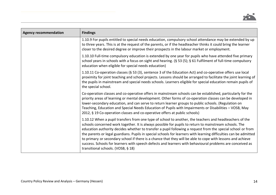

| <b>Agency recommendation</b> | <b>Findings</b>                                                                                                                                                                                                                                                                                                                                                                                                                                                                                                                                                                                                                                                                                                         |
|------------------------------|-------------------------------------------------------------------------------------------------------------------------------------------------------------------------------------------------------------------------------------------------------------------------------------------------------------------------------------------------------------------------------------------------------------------------------------------------------------------------------------------------------------------------------------------------------------------------------------------------------------------------------------------------------------------------------------------------------------------------|
|                              | 1.10.9 For pupils entitled to special needs education, compulsory school attendance may be extended by up<br>to three years. This is at the request of the parents, or if the headteacher thinks it could bring the learner<br>closer to the desired degree or improve their prospects in the labour market or employment.                                                                                                                                                                                                                                                                                                                                                                                              |
|                              | 1.10.10 Full-time compulsory education is extended by one year for pupils who have attended five primary<br>school years in schools with a focus on sight and hearing. (§ 53 (5); § 61 Fulfilment of full-time compulsory<br>education when eligible for special needs education)                                                                                                                                                                                                                                                                                                                                                                                                                                       |
|                              | 1.10.11 Co-operation classes (§ 53 (3), sentence 3 of the Education Act) and co-operative offers use local<br>proximity for joint teaching and school projects. Lessons should be arranged to facilitate the joint learning of<br>the pupils in mainstream and special needs schools. Learners eligible for special education remain pupils of<br>the special school.                                                                                                                                                                                                                                                                                                                                                   |
|                              | Co-operation classes and co-operative offers in mainstream schools can be established, particularly for the<br>priority areas of learning or mental development. Other forms of co-operation classes can be developed in<br>lower-secondary education, and can serve to return learner groups to public schools. (Regulation on<br>Teaching, Education and Special Needs Education of Pupils with Impairments or Disabilities - VOSB, May<br>2012, § 19 Co-operation classes and co-operative offers at public schools)                                                                                                                                                                                                 |
|                              | 1.10.12 When a pupil transfers from one type of school to another, the teachers and headteachers of the<br>schools concerned work together. It is always possible for pupils to return to mainstream schools. The<br>education authority decides whether to transfer a pupil following a request from the special school or from<br>the parents or legal guardians. Pupils in special schools for learners with learning difficulties can be admitted<br>to primary or secondary school if there is a chance that they will be able to cope with lessons and achieve<br>success. Schools for learners with speech defects and learners with behavioural problems are conceived as<br>transitional schools. (VOSB, § 18) |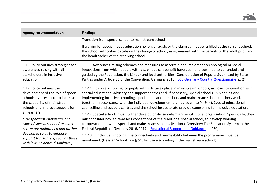

| <b>Agency recommendation</b>                                                                                                                                                                                                         | <b>Findings</b>                                                                                                                                                                                                                                                                                                                                                                                                                                                                                                                                                                                           |
|--------------------------------------------------------------------------------------------------------------------------------------------------------------------------------------------------------------------------------------|-----------------------------------------------------------------------------------------------------------------------------------------------------------------------------------------------------------------------------------------------------------------------------------------------------------------------------------------------------------------------------------------------------------------------------------------------------------------------------------------------------------------------------------------------------------------------------------------------------------|
|                                                                                                                                                                                                                                      | Transition from special school to mainstream school:<br>If a claim for special needs education no longer exists or the claim cannot be fulfilled at the current school,<br>the school authorities decide on the change of school, in agreement with the parents or the adult pupil and<br>the headteacher of the receiving school.                                                                                                                                                                                                                                                                        |
| 1.11 Policy outlines strategies for<br>awareness-raising with all<br>stakeholders in inclusive<br>education.                                                                                                                         | 1.11.1 Awareness-raising schemes and measures to ascertain and implement technological or social<br>innovations from which people with disabilities can benefit have been and continue to be funded and<br>guided by the Federation, the Länder and local authorities (Consideration of Reports Submitted by State<br>Parties under Article 35 of the Convention, Germany 2013; IECE Germany Country Questionnaire, p. 2)                                                                                                                                                                                 |
| 1.12 Policy outlines the<br>development of the role of special<br>schools as a resource to increase<br>the capability of mainstream<br>schools and improve support for                                                               | 1.12.1 Inclusive schooling for pupils with SEN takes place in mainstream schools, in close co-operation with<br>special educational advisory and support centres and, if necessary, special schools. In planning and<br>implementing inclusive schooling, special education teachers and mainstream school teachers work<br>together in accordance with the individual development plan pursuant to § 49 (4). Special educational<br>counselling and support centres and the school inspectorate provide counselling for inclusive education.                                                             |
| all learners.<br>(The specialist knowledge and<br>skills of special school / resource<br>centre are maintained and further<br>developed so as to enhance<br>support for learners, such as those<br>with low-incidence disabilities.) | 1.12.2 Special schools must further develop professionalism and institutional organisation. Specifically, they<br>must consider how to re-assess conceptions of the traditional special school, to develop working<br>co-operation between special and mainstream schools. (National Overview; The Education System in the<br>Federal Republic of Germany 2016/2017 - Educational Support and Guidance, p. 250)<br>1.12.3 In inclusive schooling, the connectivity and permeability between the programmes must be<br>maintained. (Hessian School Law § 51: Inclusive schooling in the mainstream school) |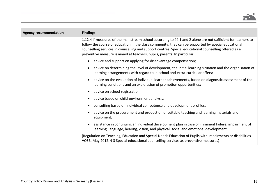

| <b>Agency recommendation</b> | <b>Findings</b>                                                                                                                                                                                                                                                                                                                                                                                          |  |  |
|------------------------------|----------------------------------------------------------------------------------------------------------------------------------------------------------------------------------------------------------------------------------------------------------------------------------------------------------------------------------------------------------------------------------------------------------|--|--|
|                              | 1.12.4 If measures of the mainstream school according to §§ 1 and 2 alone are not sufficient for learners to<br>follow the course of education in the class community, they can be supported by special educational<br>counselling services in counselling and support centres. Special educational counselling offered as a<br>preventive measure is aimed at teachers, pupils, parents. In particular: |  |  |
|                              | advice and support on applying for disadvantage compensation;<br>$\bullet$                                                                                                                                                                                                                                                                                                                               |  |  |
|                              | advice on determining the level of development, the initial learning situation and the organisation of<br>$\bullet$<br>learning arrangements with regard to in-school and extra-curricular offers;                                                                                                                                                                                                       |  |  |
|                              | advice on the evaluation of individual learner achievements, based on diagnostic assessment of the<br>$\bullet$<br>learning conditions and an exploration of promotion opportunities;                                                                                                                                                                                                                    |  |  |
|                              | advice on school registration;<br>$\bullet$                                                                                                                                                                                                                                                                                                                                                              |  |  |
|                              | advice based on child-environment analysis;<br>$\bullet$                                                                                                                                                                                                                                                                                                                                                 |  |  |
|                              | consulting based on individual competence and development profiles;<br>$\bullet$                                                                                                                                                                                                                                                                                                                         |  |  |
|                              | advice on the procurement and production of suitable teaching and learning materials and<br>$\bullet$<br>equipment;                                                                                                                                                                                                                                                                                      |  |  |
|                              | assistance in continuing an individual development plan in case of imminent failure, impairment of<br>$\bullet$<br>learning, language, hearing, vision, and physical, social and emotional development.                                                                                                                                                                                                  |  |  |
|                              | (Regulation on Teaching, Education and Special Needs Education of Pupils with impairments or disabilities -<br>VOSB, May 2012, § 3 Special educational counselling services as preventive measures)                                                                                                                                                                                                      |  |  |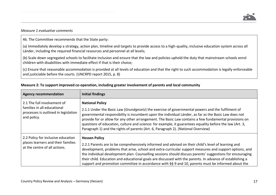

#### *Measure 1 evaluative comments*

46. The Committee recommends that the State party:

(a) Immediately develop a strategy, action plan, timeline and targets to provide access to a high-quality, inclusive education system across all Länder, including the required financial resources and personnel at all levels;

(b) Scale down segregated schools to facilitate inclusion and ensure that the law and policies uphold the duty that mainstream schools enrol children with disabilities with immediate effect if that is their choice;

(c) Ensure that reasonable accommodation is provided at all levels of education and that the right to such accommodation is legally enforceable and justiciable before the courts. (UNCRPD report 2015, p. 8)

| <b>Agency recommendation</b>                                                                                      | <b>Initial findings</b>                                                                                                                                                                                                                                                                                                                                                                                                                                                                                                                                                |  |  |
|-------------------------------------------------------------------------------------------------------------------|------------------------------------------------------------------------------------------------------------------------------------------------------------------------------------------------------------------------------------------------------------------------------------------------------------------------------------------------------------------------------------------------------------------------------------------------------------------------------------------------------------------------------------------------------------------------|--|--|
| 2.1 The full involvement of<br>families in all educational<br>processes is outlined in legislation<br>and policy. | <b>National Policy</b><br>2.1.1 Under the Basic Law (Grundgesetz) the exercise of governmental powers and the fulfilment of<br>governmental responsibility is incumbent upon the individual Länder, as far as the Basic Law does not<br>provide for or allow for any other arrangement. The Basic Law contains a few fundamental provisions on<br>questions of education, culture and science: for example, it guarantees equality before the law (Art. 3,<br>Paragraph 1) and the rights of parents (Art. 6, Paragraph 2). (National Overview)                        |  |  |
| 2.2 Policy for inclusive education<br>places learners and their families<br>at the centre of all actions.         | <b>Hessen Policy</b><br>2.2.1 Parents are to be comprehensively informed and advised on their child's level of learning and<br>development, problems that arise, school and extra-curricular support measures and support options, and<br>the individual development plan. Counselling sessions should discuss parents' suggestions for encouraging<br>their child. Education and educational goals are discussed with the parents. In advance of establishing a<br>support and promotion committee in accordance with §§ 9 and 10, parents must be informed about the |  |  |

#### **Measure 2: To support improved co-operation, including greater involvement of parents and local community**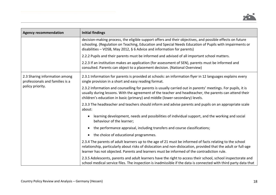

| <b>Agency recommendation</b>                                     | <b>Initial findings</b>                                                                                                                                                                                                                                                                                                  |  |  |  |  |
|------------------------------------------------------------------|--------------------------------------------------------------------------------------------------------------------------------------------------------------------------------------------------------------------------------------------------------------------------------------------------------------------------|--|--|--|--|
|                                                                  | decision-making process, the eligible support offers and their objectives, and possible effects on future<br>schooling. (Regulation on Teaching, Education and Special Needs Education of Pupils with impairments or<br>disabilities - VOSB, May 2012, § 6 Advice and information for parents)                           |  |  |  |  |
|                                                                  | 2.2.2 Pupils and their parents must be informed and advised of all important school matters.                                                                                                                                                                                                                             |  |  |  |  |
|                                                                  | 2.2.3 If an institution makes an application (for assessment of SEN), parents must be informed and<br>consulted. Parents can object to a placement decision. (National Overview)                                                                                                                                         |  |  |  |  |
| 2.3 Sharing information among<br>professionals and families is a | 2.3.1 Information for parents is provided at schools: an information flyer in 12 languages explains every<br>single provision in a short and easy reading format.                                                                                                                                                        |  |  |  |  |
| policy priority.                                                 | 2.3.2 Information and counselling for parents is usually carried out in parents' meetings. For pupils, it is<br>usually during lessons. With the agreement of the teacher and headteacher, the parents can attend their<br>children's education in basic (primary) and middle (lower-secondary) levels.                  |  |  |  |  |
|                                                                  | 2.3.3 The headteacher and teachers should inform and advise parents and pupils on an appropriate scale<br>about:                                                                                                                                                                                                         |  |  |  |  |
|                                                                  | learning development, needs and possibilities of individual support, and the working and social<br>behaviour of the learner;                                                                                                                                                                                             |  |  |  |  |
|                                                                  | the performance appraisal, including transfers and course classifications;<br>$\bullet$                                                                                                                                                                                                                                  |  |  |  |  |
|                                                                  | the choice of educational programmes.<br>$\bullet$                                                                                                                                                                                                                                                                       |  |  |  |  |
|                                                                  | 2.3.4 The parents of adult learners up to the age of 21 must be informed of facts relating to the school<br>relationship, particularly about risks of dislocation and non-dislocation, provided that the adult or full-age<br>learner has not objected. Parents and learners must be informed of the contradiction rule. |  |  |  |  |
|                                                                  | 2.3.5 Adolescents, parents and adult learners have the right to access their school, school inspectorate and<br>school medical service files. The inspection is inadmissible if the data is connected with third party data that                                                                                         |  |  |  |  |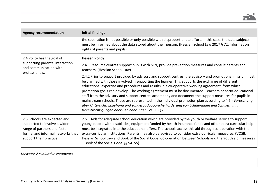

| <b>Agency recommendation</b>                                                                                                                                 | <b>Initial findings</b>                                                                                                                                                                                                                                                                                                                                                                                                                                                                                                                                                                                                                                                                                                                                                                                  |  |  |  |
|--------------------------------------------------------------------------------------------------------------------------------------------------------------|----------------------------------------------------------------------------------------------------------------------------------------------------------------------------------------------------------------------------------------------------------------------------------------------------------------------------------------------------------------------------------------------------------------------------------------------------------------------------------------------------------------------------------------------------------------------------------------------------------------------------------------------------------------------------------------------------------------------------------------------------------------------------------------------------------|--|--|--|
|                                                                                                                                                              | the separation is not possible or only possible with disproportionate effort. In this case, the data subjects<br>must be informed about the data stored about their person. (Hessian School Law 2017 § 72: Information<br>rights of parents and pupils)                                                                                                                                                                                                                                                                                                                                                                                                                                                                                                                                                  |  |  |  |
| 2.4 Policy has the goal of                                                                                                                                   | <b>Hessen Policy</b>                                                                                                                                                                                                                                                                                                                                                                                                                                                                                                                                                                                                                                                                                                                                                                                     |  |  |  |
| supporting parental interaction<br>and communication with<br>professionals.                                                                                  | 2.4.1 Resource centres support pupils with SEN, provide prevention measures and consult parents and<br>teachers. (Hessian School Law)                                                                                                                                                                                                                                                                                                                                                                                                                                                                                                                                                                                                                                                                    |  |  |  |
|                                                                                                                                                              | 2.4.2 Prior to support provided by advisory and support centres, the advisory and promotional mission must<br>be clarified with those involved in supporting the learner. This supports the exchange of different<br>educational expertise and procedures and results in a co-operative working agreement, from which<br>promotion goals can develop. The working agreement must be documented. Teachers or socio-educational<br>staff from the advisory and support centres accompany and document the support measures for pupils in<br>mainstream schools. These are represented in the individual promotion plan according to § 5. (Verordnung<br>über Unterricht, Erziehung und sonderpädagogische Förderung von Schülerinnen und Schülern mit<br>Beeinträchtigungen oder Behinderungen (VOSB) §25) |  |  |  |
| 2.5 Schools are expected and<br>supported to involve a wider<br>range of partners and foster<br>formal and informal networks that<br>support their practice. | 2.5.1 Aids for adequate school education which are provided by the youth or welfare service to support<br>young people with disabilities, equipment funded by health insurance funds and other extra-curricular help<br>must be integrated into the educational offers. The schools access this aid through co-operation with the<br>extra-curricular institutions. Parents may also be advised to consider extra-curricular measures. (VOSB,<br>Hessian School Law and Book of the Social Code; Co-operation between Schools and the Youth aid measures<br>$-$ Book of the Social Code §§ 54-55)                                                                                                                                                                                                        |  |  |  |

# *Measure 2 evaluative comments*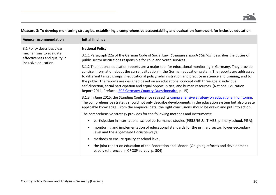| <b>Agency recommendation</b>                                                   | <b>Initial findings</b>                                                                                                                                                                                                                                                                                                                                                                                                                                                                                                                                                                                                            |  |  |  |
|--------------------------------------------------------------------------------|------------------------------------------------------------------------------------------------------------------------------------------------------------------------------------------------------------------------------------------------------------------------------------------------------------------------------------------------------------------------------------------------------------------------------------------------------------------------------------------------------------------------------------------------------------------------------------------------------------------------------------|--|--|--|
| 3.1 Policy describes clear                                                     | <b>National Policy</b>                                                                                                                                                                                                                                                                                                                                                                                                                                                                                                                                                                                                             |  |  |  |
| mechanisms to evaluate<br>effectiveness and quality in<br>inclusive education. | 3.1.1 Paragraph 22a of the German Code of Social Law (Sozialgesetzbuch SGB VIII) describes the duties of<br>public sector institutions responsible for child and youth services.                                                                                                                                                                                                                                                                                                                                                                                                                                                   |  |  |  |
|                                                                                | 3.1.2 The national education reports are a major tool for educational monitoring in Germany. They provide<br>concise information about the current situation in the German education system. The reports are addressed<br>to different target groups in educational policy, administration and practice in science and training, and to<br>the public. The reports are designed based on an educational concept with three goals: individual<br>self-direction, social participation and equal opportunities, and human resources. (National Education<br>Report 2014, Preface; <b>IECE Germany Country Questionnaire</b> , p. 15) |  |  |  |
|                                                                                | 3.1.3 In June 2015, the Standing Conference revised its comprehensive strategy on educational monitoring.<br>The comprehensive strategy should not only describe developments in the education system but also create<br>applicable knowledge. From the empirical data, the right conclusions should be drawn and put into action.                                                                                                                                                                                                                                                                                                 |  |  |  |
|                                                                                | The comprehensive strategy provides for the following methods and instruments:                                                                                                                                                                                                                                                                                                                                                                                                                                                                                                                                                     |  |  |  |
|                                                                                | participation in international school performance studies (PIRLS/IGLU, TIMSS, primary school, PISA);<br>$\bullet$                                                                                                                                                                                                                                                                                                                                                                                                                                                                                                                  |  |  |  |
|                                                                                | monitoring and implementation of educational standards for the primary sector, lower-secondary<br>$\bullet$<br>level and the Allgemeine Hochschulreife;                                                                                                                                                                                                                                                                                                                                                                                                                                                                            |  |  |  |
|                                                                                | methods to ensure quality at school level;<br>$\bullet$                                                                                                                                                                                                                                                                                                                                                                                                                                                                                                                                                                            |  |  |  |
|                                                                                | the joint report on education of the Federation and Länder. (On-going reforms and development<br>$\bullet$<br>paper, referenced in CROSP survey, p. 304)                                                                                                                                                                                                                                                                                                                                                                                                                                                                           |  |  |  |

# **Measure 3: To develop monitoring strategies, establishing a comprehensive accountability and evaluation framework for inclusive education**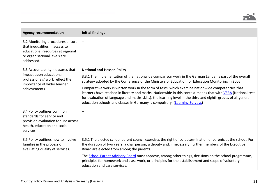| <b>Agency recommendation</b>                                                                                                                          | <b>Initial findings</b>                                                                                                                                                                                                                                                                                                                                                                                          |  |  |
|-------------------------------------------------------------------------------------------------------------------------------------------------------|------------------------------------------------------------------------------------------------------------------------------------------------------------------------------------------------------------------------------------------------------------------------------------------------------------------------------------------------------------------------------------------------------------------|--|--|
| 3.2 Monitoring procedures ensure<br>that inequalities in access to<br>educational resources at regional<br>or organisational levels are<br>addressed. |                                                                                                                                                                                                                                                                                                                                                                                                                  |  |  |
| 3.3 Accountability measures that                                                                                                                      | <b>National and Hessen Policy</b>                                                                                                                                                                                                                                                                                                                                                                                |  |  |
| impact upon educational<br>professionals' work reflect the<br>importance of wider learner                                                             | 3.3.1 The implementation of the nationwide comparison work in the German Länder is part of the overall<br>strategy adopted by the Conference of the Ministers of Education for Education Monitoring in 2006.                                                                                                                                                                                                     |  |  |
| achievements.                                                                                                                                         | Comparative work is written work in the form of tests, which examine nationwide competencies that<br>learners have reached in literacy and maths. Nationwide in this context means that with VERA (National test<br>for evaluation of language and maths skills), the learning level in the third and eighth grades of all general<br>education schools and classes in Germany is compulsory. (Learning Surveys) |  |  |
| 3.4 Policy outlines common<br>standards for service and<br>provision evaluation for use across<br>health, education and social<br>services.           | -                                                                                                                                                                                                                                                                                                                                                                                                                |  |  |
| 3.5 Policy outlines how to involve<br>families in the process of<br>evaluating quality of services.                                                   | 3.5.1 The elected school parent council exercises the right of co-determination of parents at the school. For<br>the duration of two years, a chairperson, a deputy and, if necessary, further members of the Executive<br>Board are elected from among the parents.                                                                                                                                             |  |  |
|                                                                                                                                                       | The School Parent Advisory Board must approve, among other things, decisions on the school programme,<br>principles for homework and class work, or principles for the establishment and scope of voluntary<br>education and care services.                                                                                                                                                                      |  |  |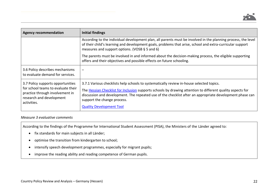

| <b>Agency recommendation</b>                                                                                                                          | Initial findings                                                                                                                                                                                                                                                                                                                                                                     |  |  |  |  |
|-------------------------------------------------------------------------------------------------------------------------------------------------------|--------------------------------------------------------------------------------------------------------------------------------------------------------------------------------------------------------------------------------------------------------------------------------------------------------------------------------------------------------------------------------------|--|--|--|--|
|                                                                                                                                                       | According to the individual development plan, all parents must be involved in the planning process, the level<br>of their child's learning and development goals, problems that arise, school and extra-curricular support<br>measures and support options. (VOSB $\S$ 5 and 6)                                                                                                      |  |  |  |  |
|                                                                                                                                                       | The parents must be involved in and informed about the decision-making process, the eligible supporting<br>offers and their objectives and possible effects on future schooling.                                                                                                                                                                                                     |  |  |  |  |
| 3.6 Policy describes mechanisms<br>to evaluate demand for services.                                                                                   |                                                                                                                                                                                                                                                                                                                                                                                      |  |  |  |  |
| 3.7 Policy supports opportunities<br>for school teams to evaluate their<br>practice through involvement in<br>research and development<br>activities. | 3.7.1 Various checklists help schools to systematically review in-house selected topics.<br>The Hessian Checklist for Inclusion supports schools by drawing attention to different quality aspects for<br>discussion and development. The repeated use of the checklist after an appropriate development phase can<br>support the change process.<br><b>Quality Development Tool</b> |  |  |  |  |

#### *Measure 3 evaluative comments*

According to the findings of the Programme for International Student Assessment (PISA), the Ministers of the Länder agreed to:

- fix standards for main subjects in all Länder;
- optimise the transition from kindergarten to school;
- intensify speech development programmes, especially for migrant pupils;
- improve the reading ability and reading competence of German pupils.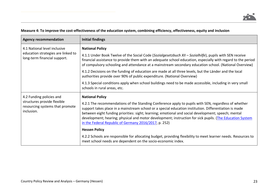| Measure 4: To improve the cost-effectiveness of the education system, combining efficiency, effectiveness, equity and inclusion |  |  |
|---------------------------------------------------------------------------------------------------------------------------------|--|--|
|---------------------------------------------------------------------------------------------------------------------------------|--|--|

| <b>Agency recommendation</b>                                                                             | <b>Initial findings</b>                                                                                                                                                                                                                                                                                                                                                                                                                                                                                                                           |  |  |
|----------------------------------------------------------------------------------------------------------|---------------------------------------------------------------------------------------------------------------------------------------------------------------------------------------------------------------------------------------------------------------------------------------------------------------------------------------------------------------------------------------------------------------------------------------------------------------------------------------------------------------------------------------------------|--|--|
| 4.1 National level inclusive<br>education strategies are linked to<br>long-term financial support.       | <b>National Policy</b><br>4.1.1 Under Book Twelve of the Social Code (Sozialgesetzbuch XII - Sozialhilfe), pupils with SEN receive<br>financial assistance to provide them with an adequate school education, especially with regard to the period<br>of compulsory schooling and attendance at a mainstream secondary education school. (National Overview)<br>4.1.2 Decisions on the funding of education are made at all three levels, but the Länder and the local<br>authorities provide over 90% of public expenditure. (National Overview) |  |  |
|                                                                                                          | 4.1.3 Special conditions apply when school buildings need to be made accessible, including in very small<br>schools in rural areas, etc.                                                                                                                                                                                                                                                                                                                                                                                                          |  |  |
| 4.2 Funding policies and<br>structures provide flexible<br>resourcing systems that promote<br>inclusion. | <b>National Policy</b><br>4.2.1 The recommendations of the Standing Conference apply to pupils with SEN, regardless of whether<br>support takes place in a mainstream school or a special education institution. Differentiation is made<br>between eight funding priorities: sight; learning; emotional and social development; speech; mental<br>development; hearing; physical and motor development; instruction for sick pupils. (The Education System<br>in the Federal Republic of Germany 2016/2017, p. 252)                              |  |  |
|                                                                                                          | <b>Hessen Policy</b>                                                                                                                                                                                                                                                                                                                                                                                                                                                                                                                              |  |  |
|                                                                                                          | 4.2.2 Schools are responsible for allocating budget, providing flexibility to meet learner needs. Resources to<br>meet school needs are dependent on the socio-economic index.                                                                                                                                                                                                                                                                                                                                                                    |  |  |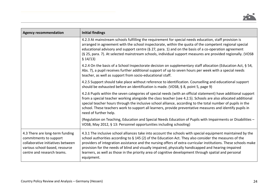

| <b>Agency recommendation</b>                                                                                                                                   | <b>Initial findings</b>                                                                                                                                                                                                                                                                                                                                                                                                                                                                                                                                                |  |  |  |  |
|----------------------------------------------------------------------------------------------------------------------------------------------------------------|------------------------------------------------------------------------------------------------------------------------------------------------------------------------------------------------------------------------------------------------------------------------------------------------------------------------------------------------------------------------------------------------------------------------------------------------------------------------------------------------------------------------------------------------------------------------|--|--|--|--|
|                                                                                                                                                                | 4.2.3 At mainstream schools fulfilling the requirement for special needs education, staff provision is<br>arranged in agreement with the school inspectorate, within the quota of the competent regional special<br>educational advisory and support centre ( $\S$ 27, para. 1) and on the basis of a co-operation agreement<br>(§ 25, para. 7). At selected mainstream schools, individual support measures are provided regionally. (VOSB<br>\$14/13)                                                                                                                |  |  |  |  |
|                                                                                                                                                                | 4.2.4 On the basis of a School Inspectorate decision on supplementary staff allocation (Education Act, § 54,<br>Abs. 7), a pupil receives further additional support of up to seven hours per week with a special needs<br>teacher, as well as support from socio-educational staff.                                                                                                                                                                                                                                                                                   |  |  |  |  |
|                                                                                                                                                                | 4.2.5 Support should take place without reference to identification. Counselling and educational support<br>should be exhausted before an identification is made. (VOSB, § 8, point 5, page 9)                                                                                                                                                                                                                                                                                                                                                                         |  |  |  |  |
|                                                                                                                                                                | 4.2.6 Pupils within the seven categories of special needs (with an official statement) have additional support<br>from a special teacher working alongside the class teacher (see 4.2.5). Schools are also allocated additional<br>special teacher hours through the inclusive school alliance, according to the total number of pupils in the<br>school. These teachers work to support all learners, provide preventative measures and identify pupils in<br>need of further help.                                                                                   |  |  |  |  |
|                                                                                                                                                                | (Regulation on Teaching, Education and Special Needs Education of Pupils with Impairments or Disabilities -<br>VOSB, May 2012, § 13: Personnel opportunities including schooling)                                                                                                                                                                                                                                                                                                                                                                                      |  |  |  |  |
| 4.3 There are long-term funding<br>commitments to support<br>collaborative initiatives between<br>various school-based, resource<br>centre and research teams. | 4.3.1 The inclusive school alliances take into account the schools with special equipment maintained by the<br>school authorities according to § 145 (2) of the Education Act. They also consider the measures of the<br>providers of integration assistance and the nursing offers of extra-curricular institutions. These schools make<br>provision for the needs of blind and visually impaired, physically handicapped and hearing-impaired<br>learners, as well as those in the priority area of cognitive development through spatial and personal<br>equipment. |  |  |  |  |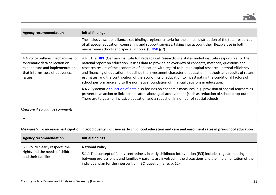

| <b>Agency recommendation</b><br><b>Initial findings</b>                                                                                             |                                                                                                                                                                                                                                                                                                                                                                                                                                                                                                                                                                                                                                                          |  |  |
|-----------------------------------------------------------------------------------------------------------------------------------------------------|----------------------------------------------------------------------------------------------------------------------------------------------------------------------------------------------------------------------------------------------------------------------------------------------------------------------------------------------------------------------------------------------------------------------------------------------------------------------------------------------------------------------------------------------------------------------------------------------------------------------------------------------------------|--|--|
|                                                                                                                                                     | The inclusive school alliances set binding, regional criteria for the annual distribution of the total resources<br>of all special education, counselling and support services, taking into account their flexible use in both<br>mainstream schools and special schools. (VOISB § 2)                                                                                                                                                                                                                                                                                                                                                                    |  |  |
| 4.4 Policy outlines mechanisms for<br>systematic data collection on<br>expenditure and implementation<br>that informs cost-effectiveness<br>issues. | 4.4.1 The DIPF (German Institute for Pedagogical Research) is a state-funded institute responsible for the<br>national report on education. It uses data to provide an overview of concepts, methods, questions and<br>research results of the economics of education with regard to human capital research, internal efficiency<br>and financing of education. It outlines the investment character of education, methods and results of return<br>estimates, and the contribution of the economics of education to investigating the conditional factors of<br>school performance and to the normative foundation of financial decisions in education. |  |  |
|                                                                                                                                                     | 4.4.2 Systematic collection of data also focuses on economic measures, e.g. provision of special teachers as<br>preventative action or links to indicators about goal achievement (such as reduction of school drop-out).<br>There are targets for inclusive education and a reduction in number of special schools.                                                                                                                                                                                                                                                                                                                                     |  |  |

#### *Measure 4 evaluative comments*

# **Measure 5: To increase participation in good quality inclusive early childhood education and care and enrolment rates in pre-school education**

| <b>Agency recommendation</b>                                                               | Initial findings                                                                                                                                                                                                                                                                                                    |
|--------------------------------------------------------------------------------------------|---------------------------------------------------------------------------------------------------------------------------------------------------------------------------------------------------------------------------------------------------------------------------------------------------------------------|
| 5.1 Policy clearly respects the<br>rights and the needs of children<br>and their families. | <b>National Policy</b><br>5.1.1 The concept of family-centredness in early childhood intervention (ECI) includes regular meetings<br>between professionals and families - parents are involved in the discussions and the implementation of the<br>individual plan for the intervention. (ECI questionnaire, p. 12) |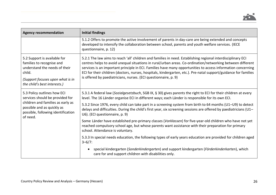

| <b>Agency recommendation</b>                                                                                                                                                        | <b>Initial findings</b>                                                                                                                                                                                                                                                                                                                                                                                                                                                                                                           |
|-------------------------------------------------------------------------------------------------------------------------------------------------------------------------------------|-----------------------------------------------------------------------------------------------------------------------------------------------------------------------------------------------------------------------------------------------------------------------------------------------------------------------------------------------------------------------------------------------------------------------------------------------------------------------------------------------------------------------------------|
|                                                                                                                                                                                     | 5.1.2 Offers to promote the active involvement of parents in day-care are being extended and concepts<br>developed to intensify the collaboration between school, parents and youth welfare services. (IECE<br>questionnaire, p. 12)                                                                                                                                                                                                                                                                                              |
| 5.2 Support is available for<br>families to recognise and<br>understand the needs of their<br>child.<br>(Support focuses upon what is in<br>the child's best interests.)            | 5.2.1 The law aims to reach 'all' children and families in need. Establishing regional interdisciplinary ECI<br>centres helps to avoid unequal situations in rural/urban areas. Co-ordination/networking between different<br>services is an important principle in ECI. Families have many opportunities to access information concerning<br>ECI for their children (doctors, nurses, hospitals, kindergarten, etc.). Pre-natal support/guidance for families<br>is offered by paediatricians, nurses. (ECI questionnaire, p. 9) |
| 5.3 Policy outlines how ECI<br>services should be provided for<br>children and families as early as<br>possible and as quickly as<br>possible, following identification<br>of need. | 5.3.1 A federal law (Sozialgesetzbuch, SGB IX, § 30) gives parents the right to ECI for their children at every<br>level. The 16 Länder organise ECI in different ways; each Länder is responsible for its own ECI.                                                                                                                                                                                                                                                                                                               |
|                                                                                                                                                                                     | 5.3.2 Since 1976, every child can take part in a screening system from birth to 64 months (U1-U9) to detect<br>delays and difficulties. During the child's first year, six screening sessions are offered by paediatricians (U1-<br>U6). (ECI questionnaire, p. 9)                                                                                                                                                                                                                                                                |
|                                                                                                                                                                                     | Some Länder have established pre-primary classes (Vorklassen) for five-year-old children who have not yet<br>reached compulsory school age, but whose parents want assistance with their preparation for primary<br>school. Attendance is voluntary.                                                                                                                                                                                                                                                                              |
|                                                                                                                                                                                     | 5.3.3 In special needs education, the following types of early years education are provided for children aged<br>$3 - 6/7$ :                                                                                                                                                                                                                                                                                                                                                                                                      |
|                                                                                                                                                                                     | special kindergarten (Sonderkindergarten) and support kindergarten (Förderkinderkarten), which<br>$\bullet$<br>care for and support children with disabilities only.                                                                                                                                                                                                                                                                                                                                                              |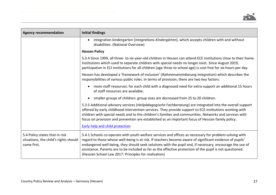

| <b>Agency recommendation</b>                                                           | <b>Initial findings</b>                                                                                                                                                                                                                                                                                                                                                                                                                                                                              |
|----------------------------------------------------------------------------------------|------------------------------------------------------------------------------------------------------------------------------------------------------------------------------------------------------------------------------------------------------------------------------------------------------------------------------------------------------------------------------------------------------------------------------------------------------------------------------------------------------|
|                                                                                        | integration kindergarten (Integrations-Kindergärten), which accepts children with and without<br>disabilities. (National Overview)                                                                                                                                                                                                                                                                                                                                                                   |
|                                                                                        | <b>Hessen Policy</b>                                                                                                                                                                                                                                                                                                                                                                                                                                                                                 |
|                                                                                        | 5.3.4 Since 1999, all three- to six-year-old children in Hessen can attend ECE institutions close to their home.<br>Institutions which used to separate children with special needs no longer exist. Since August 2019,<br>participation in ECI institutions for all children (age three to school age) is cost free for six hours per day.                                                                                                                                                          |
|                                                                                        | Hessen has developed a 'framework of inclusion' (Rahmenvereinbarung Integration) which describes the<br>responsibilities of various public roles. In terms of provision, there are two key factors:                                                                                                                                                                                                                                                                                                  |
|                                                                                        | more staff resources: for each child with a diagnosed need for extra support an additional 15 hours<br>$\bullet$<br>of staff resources are available;                                                                                                                                                                                                                                                                                                                                                |
|                                                                                        | smaller groups of children: group sizes are decreased from 25 to 20 children.<br>$\bullet$                                                                                                                                                                                                                                                                                                                                                                                                           |
|                                                                                        | 5.3.5 Additional advisory services (Heilpädagogische Fachberatung) are integrated into the overall support<br>offered by early childhood intervention services. They provide support to ECE institutions working with<br>children with special needs and to the children's families and communities. Networks and services with<br>focus on provision and prevention are established as an important focus of Hessian family policy.<br><b>Early help and child protection</b>                       |
| 5.4 Policy states that in risk<br>situations, the child's rights should<br>come first. | 5.4.1 Schools co-operate with youth welfare services and offices as necessary for problem-solving with<br>regard to those whose well-being is at risk. If teachers become aware of significant evidence of pupils'<br>endangered well-being, they should seek solutions with the pupil and, if necessary, encourage the use of<br>assistance. Parents are to be included as far as the effective protection of the pupil is not questioned.<br>(Hessian School Law 2017: Principles for realisation) |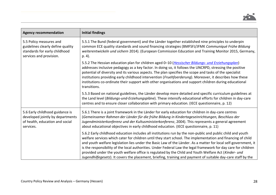

| <b>Agency recommendation</b>                                                                                             | <b>Initial findings</b>                                                                                                                                                                                                                                                                                                                                                                                                                                                                                                                                                                                                                                                                   |
|--------------------------------------------------------------------------------------------------------------------------|-------------------------------------------------------------------------------------------------------------------------------------------------------------------------------------------------------------------------------------------------------------------------------------------------------------------------------------------------------------------------------------------------------------------------------------------------------------------------------------------------------------------------------------------------------------------------------------------------------------------------------------------------------------------------------------------|
| 5.5 Policy measures and<br>guidelines clearly define quality<br>standards for early childhood<br>services and provision. | 5.5.1 The Bund (federal government) and the Länder together established nine principles to underpin<br>common ECE quality standards and sound financing strategies (BMFSFJ/JFMK Communiqué Frühe Bildung<br>weiterentwickeln und sichern 2014). (European Commission Education and Training Monitor 2015, Germany,<br>p. 4).                                                                                                                                                                                                                                                                                                                                                              |
|                                                                                                                          | 5.5.2 The Hessian education plan for children aged 0-10 (Hessischer Bildungs- und Erziehungsplan)<br>addresses inclusive pedagogy as a key factor. In doing so, it follows the UNCRPD, stressing the positive<br>potential of diversity and its various aspects. The plan specifies the scope and tasks of the specialist<br>institutions providing early childhood intervention (Fruehfoerderung). Moreover, it describes how these<br>institutions co-ordinate their support with other organisations and support children during educational<br>transitions.                                                                                                                           |
|                                                                                                                          | 5.5.3 Based on national guidelines, the Länder develop more detailed and specific curriculum guidelines at<br>the Land level (Bildungs-und-Erziehungspläne). These intensify educational efforts for children in day-care<br>centres and to ensure closer collaboration with primary education. (IECE questionnaire, p. 12)                                                                                                                                                                                                                                                                                                                                                               |
| 5.6 Early childhood guidance is<br>developed jointly by departments<br>of health, education and social<br>services.      | 5.6.1 There is a joint framework in the Länder for early education for children in day-care centres<br>(Gemeinsamer Rahmen der Länder für die frühe Bildung in Kindertageseinrichtungen, Beschluss der<br>Jugendministerkonferenz und der Kultusministerkonferenz, 2004). This represents a general agreement<br>about educational objectives in early childhood education. (IECE questionnaire, p. 11)                                                                                                                                                                                                                                                                                   |
|                                                                                                                          | 5.6.2 Early childhood education includes all institutions run by the non-public and public child and youth<br>welfare services which cater for children until they start school. The implementation and financing of child<br>and youth welfare legislation lies under the Basic Law of the Länder. As a matter for local self-government, it<br>is the responsibility of the local authorities. Under Federal Law the legal framework for day care for children<br>provided under the youth welfare office is regulated by the Child and Youth Welfare Act (Kinder- und<br>Jugendhilfegesetz). It covers the placement, briefing, training and payment of suitable day-care staff by the |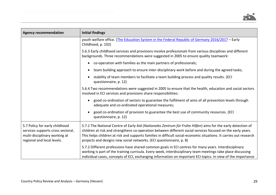

| <b>Agency recommendation</b>                                                                                                       | <b>Initial findings</b>                                                                                                                                                                                                                                                                                                                                                                                                  |
|------------------------------------------------------------------------------------------------------------------------------------|--------------------------------------------------------------------------------------------------------------------------------------------------------------------------------------------------------------------------------------------------------------------------------------------------------------------------------------------------------------------------------------------------------------------------|
|                                                                                                                                    | youth welfare office. (The Education System in the Federal Republic of Germany 2016/2017 - Early<br>Childhood, p. 102)                                                                                                                                                                                                                                                                                                   |
|                                                                                                                                    | 5.6.3 Early childhood services and provisions involve professionals from various disciplines and different<br>backgrounds. Three recommendations were suggested in 2005 to ensure quality teamwork:                                                                                                                                                                                                                      |
|                                                                                                                                    | co-operation with families as the main partners of professionals;<br>$\bullet$                                                                                                                                                                                                                                                                                                                                           |
|                                                                                                                                    | team building approach to ensure inter-disciplinary work before and during the agreed tasks;<br>$\bullet$                                                                                                                                                                                                                                                                                                                |
|                                                                                                                                    | stability of team members to facilitate a team building process and quality results. (ECI<br>$\bullet$<br>questionnaire, p. 12)                                                                                                                                                                                                                                                                                          |
|                                                                                                                                    | 5.6.4 Two recommendations were suggested in 2005 to ensure that the health, education and social sectors<br>involved in ECI services and provisions share responsibilities:                                                                                                                                                                                                                                              |
|                                                                                                                                    | good co-ordination of sectors to guarantee the fulfilment of aims of all prevention levels through<br>$\bullet$<br>adequate and co-ordinated operational measures;                                                                                                                                                                                                                                                       |
|                                                                                                                                    | good co-ordination of provision to guarantee the best use of community resources. (ECI<br>questionnaire, p. 12)                                                                                                                                                                                                                                                                                                          |
| 5.7 Policy for early childhood<br>services supports cross sectoral,<br>multi-disciplinary working at<br>regional and local levels. | 5.7.1 The National Centre of Early Aid (Nationales Zentrum für Frühe Hilfen) aims for the early detection of<br>children at risk and strengthens co-operation between different social services focused on the early years.<br>This helps children at risk and supports families in difficult social-economic situations. It carries out research<br>projects and designs new social networks. (ECI questionnaire, p. 8) |
|                                                                                                                                    | 5.7.2 Different professions have shared common goals in ECI centres for many years. Interdisciplinary<br>working is part of the training curricula. Every week, interdisciplinary team meetings take place discussing<br>individual cases, concepts of ECI, exchanging information on important ECI topics. In view of the importance                                                                                    |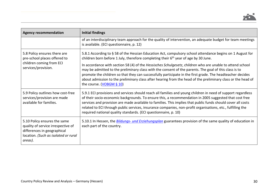

| <b>Agency recommendation</b>                                                                                                                         | <b>Initial findings</b>                                                                                                                                                                                                                                                                                                                                                                                                                                                                                                  |
|------------------------------------------------------------------------------------------------------------------------------------------------------|--------------------------------------------------------------------------------------------------------------------------------------------------------------------------------------------------------------------------------------------------------------------------------------------------------------------------------------------------------------------------------------------------------------------------------------------------------------------------------------------------------------------------|
|                                                                                                                                                      | of an interdisciplinary team approach for the quality of intervention, an adequate budget for team meetings<br>is available. (ECI questionnaire, p. 12)                                                                                                                                                                                                                                                                                                                                                                  |
| 5.8 Policy ensures there are<br>pre-school places offered to                                                                                         | 5.8.1 According to § 58 of the Hessian Education Act, compulsory school attendance begins on 1 August for<br>children born before 1 July, therefore completing their 6 <sup>th</sup> year of age by 30 June.                                                                                                                                                                                                                                                                                                             |
| children coming from ECI<br>services/provision.                                                                                                      | In accordance with section 58 (4) of the Hessisches Schulgesetz, children who are unable to attend school<br>may be admitted to the preliminary class with the consent of the parents. The goal of this class is to<br>promote the children so that they can successfully participate in the first grade. The headteacher decides<br>about admission to the preliminary class after hearing from the head of the preliminary class or the head of<br>the course. (VOBGM § 10)                                            |
| 5.9 Policy outlines how cost-free<br>services/provision are made<br>available for families.                                                          | 5.9.1 ECI provisions and services should reach all families and young children in need of support regardless<br>of their socio-economic backgrounds. To ensure this, a recommendation in 2005 suggested that cost free<br>services and provision are made available to families. This implies that public funds should cover all costs<br>related to ECI through public services, insurance companies, non-profit organisations, etc., fulfilling the<br>required national quality standards. (ECI questionnaire, p. 10) |
| 5.10 Policy ensures the same<br>quality of service irrespective of<br>differences in geographical<br>location. (Such as isolated or rural<br>areas). | 5.10.1 In Hessen, the <b>Bildungs- und Erziehungsplan</b> guarantees provision of the same quality of education in<br>each part of the country.                                                                                                                                                                                                                                                                                                                                                                          |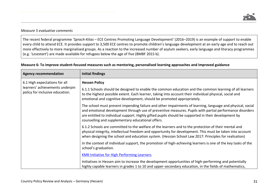#### *Measure 5 evaluative comments*

The recent federal programme '*Sprach-Kitas* – ECE Centres Promoting Language Development' (2016–2019) is an example of support to enable every child to attend ECE. It provides support to 3,500 ECE centres to promote children's language development at an early age and to reach out more effectively to more marginalised groups. As a reaction to the increased number of asylum seekers, early language and literacy programmes (e.g. '*Lesestart*') are made available for refugees below the age of five (BMBF 2015 b).

| <b>Agency recommendation</b>                                                                        | <b>Initial findings</b>                                                                                                                                                                                                                                                                                                                                                            |
|-----------------------------------------------------------------------------------------------------|------------------------------------------------------------------------------------------------------------------------------------------------------------------------------------------------------------------------------------------------------------------------------------------------------------------------------------------------------------------------------------|
| 6.1 High expectations for all<br>learners' achievements underpin<br>policy for inclusive education. | <b>Hessen Policy</b>                                                                                                                                                                                                                                                                                                                                                               |
|                                                                                                     | 6.1.1 Schools should be designed to enable the common education and the common learning of all learners<br>to the highest possible extent. Each learner, taking into account their individual physical, social and<br>emotional and cognitive development, should be promoted appropriately.                                                                                       |
|                                                                                                     | The school must prevent impending failure and other impairments of learning, language and physical, social<br>and emotional development through use of preventive measures. Pupils with partial performance disorders<br>are entitled to individual support. Highly gifted pupils should be supported in their development by<br>counselling and supplementary educational offers. |
|                                                                                                     | 6.1.2 Schools are committed to the welfare of the learners and to the protection of their mental and<br>physical integrity, intellectual freedom and opportunity for development. This must be taken into account<br>when designing the school and education system. (Hessian School Law 2017: Principles for realisation)                                                         |
|                                                                                                     | In the context of individual support, the promotion of high-achieving learners is one of the key tasks of the<br>school's graduation.                                                                                                                                                                                                                                              |
|                                                                                                     | <b>KMK Initiative for High Performing Learners</b>                                                                                                                                                                                                                                                                                                                                 |
|                                                                                                     | Initiatives in Hessen aim to increase the development opportunities of high-performing and potentially<br>highly capable learners in grades 1 to 10 and upper-secondary education, in the fields of mathematics,                                                                                                                                                                   |

#### **Measure 6: To improve student-focused measures such as mentoring, personalised learning approaches and improved guidance**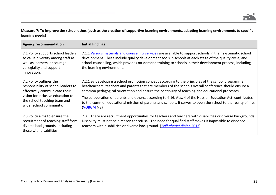# **Measure 7: To improve the school ethos (such as the creation of supportive learning environments, adapting learning environments to specific learning needs)**

| <b>Agency recommendation</b>                                                                                                                                                                    | <b>Initial findings</b>                                                                                                                                                                                                                                                                                                                                                                                                                                                                                                                                               |
|-------------------------------------------------------------------------------------------------------------------------------------------------------------------------------------------------|-----------------------------------------------------------------------------------------------------------------------------------------------------------------------------------------------------------------------------------------------------------------------------------------------------------------------------------------------------------------------------------------------------------------------------------------------------------------------------------------------------------------------------------------------------------------------|
| 7.1 Policy supports school leaders<br>to value diversity among staff as<br>well as learners, encourage<br>collegiality and support<br>innovation.                                               | 7.1.1 Various materials and counselling services are available to support schools in their systematic school<br>development. These include quality development tools in schools at each stage of the quality cycle, and<br>school counselling, which provides on-demand training to schools in their development process, including<br>the learning environment.                                                                                                                                                                                                      |
| 7.2 Policy outlines the<br>responsibility of school leaders to<br>effectively communicate their<br>vision for inclusive education to<br>the school teaching team and<br>wider school community. | 7.2.1 By developing a school promotion concept according to the principles of the school programme,<br>headteachers, teachers and parents that are members of the schools overall conference should ensure a<br>common pedagogical orientation and ensure the continuity of teaching and educational processes.<br>The co-operation of parents and others, according to $\S$ 16, Abs. 4 of the Hessian Education Act, contributes<br>to the common educational mission of parents and schools. It serves to open the school to the reality of life.<br>$(VOBGM9$ § 2) |
| 7.3 Policy aims to ensure the<br>recruitment of teaching staff from<br>diverse backgrounds, including<br>those with disabilities.                                                               | 7.3.1 There are recruitment opportunities for teachers and teachers with disabilities or diverse backgrounds.<br>Disability must not be a reason for refusal. The need for qualified staff makes it impossible to dispense<br>teachers with disabilities or diverse background. (Teilhaberichtlinien 2013)                                                                                                                                                                                                                                                            |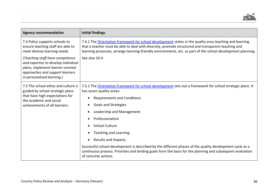

| <b>Agency recommendation</b>                                                                                                                                                | <b>Initial findings</b>                                                                                                                                                                                                                                                                                                                                                                                                                                                                                                                                                                                                                                           |
|-----------------------------------------------------------------------------------------------------------------------------------------------------------------------------|-------------------------------------------------------------------------------------------------------------------------------------------------------------------------------------------------------------------------------------------------------------------------------------------------------------------------------------------------------------------------------------------------------------------------------------------------------------------------------------------------------------------------------------------------------------------------------------------------------------------------------------------------------------------|
| 7.4 Policy supports schools to<br>ensure teaching staff are able to<br>meet diverse learning needs.                                                                         | 7.4.1 The Orientation framework for school development states in the quality area teaching and learning<br>that a teacher must be able to deal with diversity, promote structured and transparent teaching and<br>learning processes, arrange learning-friendly environments, etc. as part of the school development planning.                                                                                                                                                                                                                                                                                                                                    |
| (Teaching staff have competence<br>and expertise to develop individual<br>plans, implement learner-centred<br>approaches and support learners<br>in personalised learning.) | See also 10.4.                                                                                                                                                                                                                                                                                                                                                                                                                                                                                                                                                                                                                                                    |
| 7.5 The school ethos and culture is<br>guided by school strategic plans<br>that have high expectations for<br>the academic and social<br>achievements of all learners.      | 7.5.1 The Orientation framework for school development sets out a framework for school strategic plans. It<br>has seven quality areas:<br><b>Requirements and Conditions</b><br>$\bullet$<br><b>Goals and Strategies</b><br>$\bullet$<br>Leadership and Management<br>$\bullet$<br>Professionalism<br>$\bullet$<br><b>School Culture</b><br>$\bullet$<br><b>Teaching and Learning</b><br>$\bullet$<br>Results and Impacts.<br>$\bullet$<br>Successful school development is described by the different phases of the quality development cycle as a<br>continuous process. Priorities and binding goals form the basis for the planning and subsequent evaluation |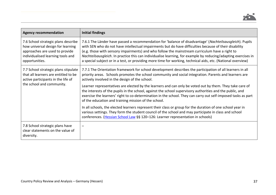

| <b>Agency recommendation</b>                                                                                                                                      | <b>Initial findings</b>                                                                                                                                                                                                                                                                                                                                                                                                                                                                                                                                |
|-------------------------------------------------------------------------------------------------------------------------------------------------------------------|--------------------------------------------------------------------------------------------------------------------------------------------------------------------------------------------------------------------------------------------------------------------------------------------------------------------------------------------------------------------------------------------------------------------------------------------------------------------------------------------------------------------------------------------------------|
| 7.6 School strategic plans describe<br>how universal design for learning<br>approaches are used to provide<br>individualised learning tools and<br>opportunities. | 7.6.1 The Länder have passed a recommendation for 'balance of disadvantage' (Nachteilsausgleich). Pupils<br>with SEN who do not have intellectual impairments but do have difficulties because of their disability<br>(e.g. those with sensory impairments) and who follow the mainstream curriculum have a right to<br>Nachteilsausgleich. In practice this can individualise learning, for example by reducing/adapting exercises in<br>a special subject or in a test, or providing more time for working, technical aids, etc. (National overview) |
| 7.7 School strategic plans stipulate<br>that all learners are entitled to be<br>active participants in the life of                                                | 7.7.1 The Orientation framework for school development describes the participation of all learners in all<br>priority areas. Schools promotes the school community and social integration. Parents and learners are<br>actively involved in the design of the school.                                                                                                                                                                                                                                                                                  |
| the school and community.                                                                                                                                         | Learner representatives are elected by the learners and can only be voted out by them. They take care of<br>the interests of the pupils in the school, against the school supervisory authorities and the public, and<br>exercise the learners' right to co-determination in the school. They can carry out self-imposed tasks as part<br>of the education and training mission of the school.                                                                                                                                                         |
|                                                                                                                                                                   | In all schools, the elected learners represent their class or group for the duration of one school year in<br>various settings. They form the student council of the school and may participate in class and school<br>conferences. (Hessian School Law §§ 120-126: Learner representation in schools)                                                                                                                                                                                                                                                 |
| 7.8 School strategic plans have<br>clear statements on the value of<br>diversity.                                                                                 |                                                                                                                                                                                                                                                                                                                                                                                                                                                                                                                                                        |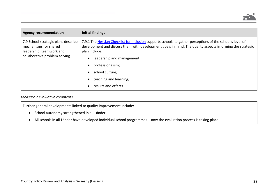

| <b>Agency recommendation</b>                                                                                               | <b>Initial findings</b>                                                                                                                                                                                                                                                                                                                                                                              |
|----------------------------------------------------------------------------------------------------------------------------|------------------------------------------------------------------------------------------------------------------------------------------------------------------------------------------------------------------------------------------------------------------------------------------------------------------------------------------------------------------------------------------------------|
| 7.9 School strategic plans describe<br>mechanisms for shared<br>leadership, teamwork and<br>collaborative problem solving. | 7.9.1 The Hessian Checklist for Inclusion supports schools to gather perceptions of the school's level of<br>development and discuss them with development goals in mind. The quality aspects informing the strategic<br>plan include:<br>leadership and management;<br>$\bullet$<br>professionalism;<br>school culture;<br>$\bullet$<br>teaching and learning;<br>results and effects.<br>$\bullet$ |

### *Measure 7 evaluative comments*

Further general developments linked to quality improvement include:

- School autonomy strengthened in all Länder.
- All schools in all Länder have developed individual school programmes now the evaluation process is taking place.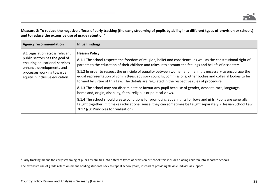# **Measure 8: To reduce the negative effects of early tracking (the early streaming of pupils by ability into different types of provision or schools) and to reduce the extensive use of grade retention<sup>1</sup>**

| <b>Agency recommendation</b>                                                                                                                                                                  | Initial findings                                                                                                                                                                                                                                                                                                                                                                                                                                                                                                                                                                                                                                                                                                                                                                                                                                                                                                                                                                                                                              |
|-----------------------------------------------------------------------------------------------------------------------------------------------------------------------------------------------|-----------------------------------------------------------------------------------------------------------------------------------------------------------------------------------------------------------------------------------------------------------------------------------------------------------------------------------------------------------------------------------------------------------------------------------------------------------------------------------------------------------------------------------------------------------------------------------------------------------------------------------------------------------------------------------------------------------------------------------------------------------------------------------------------------------------------------------------------------------------------------------------------------------------------------------------------------------------------------------------------------------------------------------------------|
| 8.1 Legislation across relevant<br>public sectors has the goal of<br>ensuring educational services<br>enhance developments and<br>processes working towards<br>equity in inclusive education. | <b>Hessen Policy</b><br>8.1.1 The school respects the freedom of religion, belief and conscience, as well as the constitutional right of<br>parents to the education of their children and takes into account the feelings and beliefs of dissenters.<br>8.1.2 In order to respect the principle of equality between women and men, it is necessary to encourage the<br>equal representation of committees, advisory councils, commissions, other bodies and collegial bodies to be<br>formed by virtue of this Law. The details are regulated in the respective rules of procedure.<br>8.1.3 The school may not discriminate or favour any pupil because of gender, descent, race, language,<br>homeland, origin, disability, faith, religious or political views.<br>8.1.4 The school should create conditions for promoting equal rights for boys and girls. Pupils are generally<br>taught together. If it makes educational sense, they can sometimes be taught separately. (Hessian School Law<br>2017 § 3: Principles for realisation) |

<sup>1</sup> Early tracking means the early streaming of pupils by abilities into different types of provision or school; this includes placing children into separate schools.

The extensive use of grade retention means holding students back to repeat school years, instead of providing flexible individual support.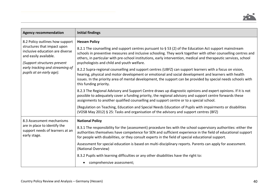

| <b>Agency recommendation</b>                                                                                                                                                                                             | <b>Initial findings</b>                                                                                                                                                                                                                                                                                                                                                                   |
|--------------------------------------------------------------------------------------------------------------------------------------------------------------------------------------------------------------------------|-------------------------------------------------------------------------------------------------------------------------------------------------------------------------------------------------------------------------------------------------------------------------------------------------------------------------------------------------------------------------------------------|
| 8.2 Policy outlines how support<br>structures that impact upon<br>inclusive education are diverse<br>and easily available.<br>(Support structures prevent<br>early tracking and streaming of<br>pupils at an early age). | <b>Hessen Policy</b>                                                                                                                                                                                                                                                                                                                                                                      |
|                                                                                                                                                                                                                          | 8.2.1 The counselling and support centres pursuant to § 53 (2) of the Education Act support mainstream<br>schools in preventive measures and inclusive schooling. They work together with other counselling centres and<br>others, in particular with pre-school institutions, early intervention, medical and therapeutic services, school<br>psychologists and child and youth welfare. |
|                                                                                                                                                                                                                          | 8.2.2 Supra-regional counselling and support centres (UBFZ) can support learners with a focus on vision,<br>hearing, physical and motor development or emotional and social development and learners with health<br>issues. In the priority area of mental development, the support can be provided by special needs schools with<br>this funding priority.                               |
|                                                                                                                                                                                                                          | 8.2.3 The Regional Advisory and Support Centre draws up diagnostic opinions and expert opinions. If it is not<br>possible to adequately cover a funding priority, the regional advisory and support centre forwards these<br>assignments to another qualified counselling and support centre or to a special school.                                                                      |
|                                                                                                                                                                                                                          | (Regulation on Teaching, Education and Special Needs Education of Pupils with impairments or disabilities<br>(VOSB May 2012) § 25: Tasks and organisation of the advisory and support centres (BFZ)                                                                                                                                                                                       |
| 8.3 Assessment mechanisms                                                                                                                                                                                                | <b>National Policy</b>                                                                                                                                                                                                                                                                                                                                                                    |
| are in place to identify the<br>support needs of learners at an<br>early stage.                                                                                                                                          | 8.3.1 The responsibility for the (assessment) procedure lies with the school supervisory authorities: either the<br>authorities themselves have competence for SEN and sufficient experience in the field of educational support<br>for people with disabilities, or they consult experts in the field of special educational support.                                                    |
|                                                                                                                                                                                                                          | Assessment for special education is based on multi-disciplinary reports. Parents can apply for assessment.<br>(National Overview)                                                                                                                                                                                                                                                         |
|                                                                                                                                                                                                                          | 8.3.2 Pupils with learning difficulties or any other disabilities have the right to:                                                                                                                                                                                                                                                                                                      |
|                                                                                                                                                                                                                          | comprehensive assessment;                                                                                                                                                                                                                                                                                                                                                                 |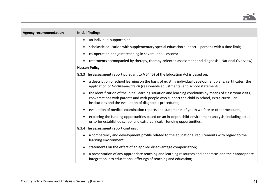

| <b>Agency recommendation</b> | <b>Initial findings</b>                                                                                                                                                                                                                                                 |
|------------------------------|-------------------------------------------------------------------------------------------------------------------------------------------------------------------------------------------------------------------------------------------------------------------------|
|                              | an individual support plan;<br>$\bullet$                                                                                                                                                                                                                                |
|                              | scholastic education with supplementary special education support – perhaps with a time limit;                                                                                                                                                                          |
|                              | co-operation and joint teaching in several or all lessons;                                                                                                                                                                                                              |
|                              | treatments accompanied by therapy, therapy-oriented assessment and diagnosis. (National Overview)                                                                                                                                                                       |
|                              | <b>Hessen Policy</b>                                                                                                                                                                                                                                                    |
|                              | 8.3.3 The assessment report pursuant to § 54 (5) of the Education Act is based on:                                                                                                                                                                                      |
|                              | a description of school learning on the basis of existing individual development plans, certificates, the<br>application of Nachteilausgleich (reasonable adjustments) and school statements;                                                                           |
|                              | the identification of the initial learning situation and learning conditions by means of classroom visits,<br>conversations with parents and with people who support the child in school, extra-curricular<br>institutions and the evaluation of diagnostic procedures; |
|                              | evaluation of medical examination reports and statements of youth welfare or other measures;                                                                                                                                                                            |
|                              | exploring the funding opportunities based on an in-depth child-environment analysis, including actual<br>or to-be-established school and extra-curricular funding opportunities.                                                                                        |
|                              | 8.3.4 The assessment report contains:                                                                                                                                                                                                                                   |
|                              | a competency and development profile related to the educational requirements with regard to the<br>learning environment;                                                                                                                                                |
|                              | statements on the effect of an applied disadvantage compensation;                                                                                                                                                                                                       |
|                              | a presentation of any appropriate teaching and learning resources and apparatus and their appropriate<br>integration into educational offerings of teaching and education;                                                                                              |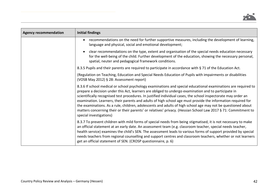

| <b>Agency recommendation</b> | <b>Initial findings</b>                                                                                                                                                                                                                                                                                                                                                                                                                                                                                                                                                                                                                                                                                               |
|------------------------------|-----------------------------------------------------------------------------------------------------------------------------------------------------------------------------------------------------------------------------------------------------------------------------------------------------------------------------------------------------------------------------------------------------------------------------------------------------------------------------------------------------------------------------------------------------------------------------------------------------------------------------------------------------------------------------------------------------------------------|
|                              | recommendations on the need for further supportive measures, including the development of learning,<br>language and physical, social and emotional development;                                                                                                                                                                                                                                                                                                                                                                                                                                                                                                                                                       |
|                              | clear recommendations on the type, extent and organisation of the special needs education necessary<br>for the well-being of the child. Further development of the education, showing the necessary personal,<br>spatial, neuter and pedagogical framework conditions.                                                                                                                                                                                                                                                                                                                                                                                                                                                |
|                              | 8.3.5 Pupils and their parents are required to participate in accordance with § 71 of the Education Act.                                                                                                                                                                                                                                                                                                                                                                                                                                                                                                                                                                                                              |
|                              | (Regulation on Teaching, Education and Special Needs Education of Pupils with impairments or disabilities<br>(VOSB May 2012) § 28: Assessment report)                                                                                                                                                                                                                                                                                                                                                                                                                                                                                                                                                                 |
|                              | 8.3.6 If school medical or school psychology examinations and special educational examinations are required to<br>prepare a decision under this Act, learners are obliged to undergo examination and to participate in<br>scientifically recognised test procedures. In justified individual cases, the school inspectorate may order an<br>examination. Learners, their parents and adults of high school age must provide the information required for<br>the examinations. As a rule, children, adolescents and adults of high school age may not be questioned about<br>matters concerning their or their parents' or relatives' privacy. (Hessian School Law 2017 § 71: Commitment to<br>special investigations) |
|                              | 8.3.7 To prevent children with mild forms of special needs from being stigmatised, it is not necessary to make<br>an official statement at an early date. An assessment team (e.g. classroom teacher, special needs teacher,<br>health service) examines the child's SEN. The assessment leads to various forms of support provided by special<br>needs teachers from regional counselling and support centres and classroom teachers, whether or not learners<br>get an official statement of SEN. (CROSP questionnaire, p. 6)                                                                                                                                                                                       |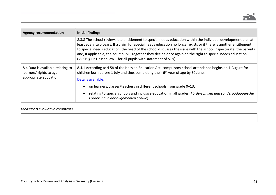

| <b>Agency recommendation</b>                                                           | Initial findings                                                                                                                                                                                                                                                                                                                                                                                                                                                                                                                         |
|----------------------------------------------------------------------------------------|------------------------------------------------------------------------------------------------------------------------------------------------------------------------------------------------------------------------------------------------------------------------------------------------------------------------------------------------------------------------------------------------------------------------------------------------------------------------------------------------------------------------------------------|
|                                                                                        | 8.3.8 The school reviews the entitlement to special needs education within the individual development plan at<br>least every two years. If a claim for special needs education no longer exists or if there is another entitlement<br>to special needs education, the head of the school discusses the issue with the school inspectorate, the parents<br>and, if applicable, the adult pupil. Together they decide once again on the right to special needs education.<br>(VOSB §11: Hessen law - for all pupils with statement of SEN) |
| 8.4 Data is available relating to<br>learners' rights to age<br>appropriate education. | 8.4.1 According to § 58 of the Hessian Education Act, compulsory school attendance begins on 1 August for<br>children born before 1 July and thus completing their 6 <sup>th</sup> year of age by 30 June.<br>Data is available:                                                                                                                                                                                                                                                                                                         |
|                                                                                        | on learners/classes/teachers in different schools from grade 0–13;                                                                                                                                                                                                                                                                                                                                                                                                                                                                       |
|                                                                                        | relating to special schools and inclusive education in all grades (Förderschulen und sonderpädagogische<br>Förderung in der allgemeinen Schule).                                                                                                                                                                                                                                                                                                                                                                                         |

# *Measure 8 evaluative comments*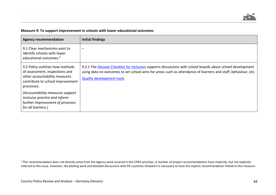#### **Measure 9: To support improvement in schools with lower educational outcomes**

| <b>Agency recommendation</b>                                                                                                                         | <b>Initial findings</b>                                                                                                                                                                                                                                         |
|------------------------------------------------------------------------------------------------------------------------------------------------------|-----------------------------------------------------------------------------------------------------------------------------------------------------------------------------------------------------------------------------------------------------------------|
| 9.1 Clear mechanisms exist to<br>identify schools with lower<br>educational outcomes. <sup>2</sup>                                                   |                                                                                                                                                                                                                                                                 |
| 9.2 Policy outlines how methods<br>of assessment, inspections and<br>other accountability measures<br>contribute to school improvement<br>processes. | 9.2.1 The Hessian Checklist for Inclusion supports discussions with school boards about school development<br>using data on outcomes to set school aims for areas such as attendance of learners and staff, behaviour, etc.<br><b>Quality development tools</b> |
| (Accountability measures support<br>inclusive practice and inform<br>further improvement of provision<br>for all learners.)                          |                                                                                                                                                                                                                                                                 |

<sup>2</sup> This recommendation does not directly come from the Agency work covered in the CPRA activities. A number of project recommendations have implicitly, but not explicitly referred to this issue. However, the piloting work and detailed discussions with PG countries showed it is necessary to have this explicit recommendation linked to this measure.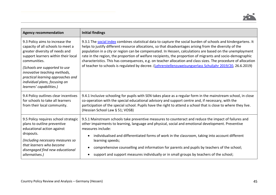

| <b>Agency recommendation</b>                                                                                                                                                                                                                                                                                                     | <b>Initial findings</b>                                                                                                                                                                                                                                                                                                                                                                                                                                                                                                                                                                                                                                                               |
|----------------------------------------------------------------------------------------------------------------------------------------------------------------------------------------------------------------------------------------------------------------------------------------------------------------------------------|---------------------------------------------------------------------------------------------------------------------------------------------------------------------------------------------------------------------------------------------------------------------------------------------------------------------------------------------------------------------------------------------------------------------------------------------------------------------------------------------------------------------------------------------------------------------------------------------------------------------------------------------------------------------------------------|
| 9.3 Policy aims to increase the<br>capacity of all schools to meet a<br>greater diversity of needs and<br>support learners within their local<br>communities.<br>(Schools are supported to use<br>innovative teaching methods,<br>practical learning approaches and<br>individual plans, focusing on<br>learners' capabilities.) | 9.3.1 The social index combines statistical data to capture the social burden of schools and kindergartens. It<br>helps to justify different resource allocations, so that disadvantages arising from the diversity of the<br>population in a city or region can be compensated. In Hessen, calculations are based on the unemployment<br>rate in the region, the proportion of welfare recipients, the proportion of migrants and socio-demographic<br>characteristics. This has consequences, e.g. on teacher allocation and class sizes. The procedure of allocation<br>of teacher to schools is regulated by decree. (Lehrerstellenzuweisungserlass Schuljahr 2019/20, 26.6.2019) |
| 9.4 Policy outlines clear incentives<br>for schools to take all learners<br>from their local community.                                                                                                                                                                                                                          | 9.4.1 Inclusive schooling for pupils with SEN takes place as a regular form in the mainstream school, in close<br>co-operation with the special educational advisory and support centre and, if necessary, with the<br>participation of the special school. Pupils have the right to attend a school that is close to where they live.<br>(Hessian School Law § 51; VOSB)                                                                                                                                                                                                                                                                                                             |
| 9.5 Policy requires school strategic<br>plans to outline preventive<br>educational action against<br>dropouts.<br>(Including necessary measures so<br>that learners who become<br>disengaged find new educational<br>alternatives.)                                                                                              | 9.5.1 Mainstream schools take preventive measures to counteract and reduce the impact of failures and<br>other impairments to learning, language and physical, social and emotional development. Preventive<br>measures include:<br>individualised and differentiated forms of work in the classroom, taking into account different<br>$\bullet$<br>learning speeds;<br>comprehensive counselling and information for parents and pupils by teachers of the school;<br>$\bullet$<br>support and support measures individually or in small groups by teachers of the school;<br>$\bullet$                                                                                              |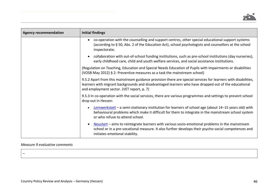

| <b>Agency recommendation</b> | <b>Initial findings</b>                                                                                                                                                                                                                                             |
|------------------------------|---------------------------------------------------------------------------------------------------------------------------------------------------------------------------------------------------------------------------------------------------------------------|
|                              | co-operation with the counselling and support centres, other special educational support systems<br>$\bullet$<br>(according to §50, Abs. 2 of the Education Act), school psychologists and counsellors at the school<br>inspectorate;                               |
|                              | collaboration with out-of-school funding institutions, such as pre-school institutions (day nurseries),<br>$\bullet$<br>early childhood care, child and youth welfare services, and social assistance institutions.                                                 |
|                              | (Regulation on Teaching, Education and Special Needs Education of Pupils with impairments or disabilities<br>(VOSB May 2012) § 2: Preventive measures as a task the mainstream school)                                                                              |
|                              | 9.5.2 Apart from this mainstream guidance provision there are special services for learners with disabilities,<br>learners with migrant backgrounds and disadvantaged learners who have dropped out of the educational<br>and employment sector. (VET report, p. 7) |
|                              | 9.5.3 In co-operation with the social services, there are various programmes and settings to prevent school<br>drop out in Hessen:                                                                                                                                  |
|                              | Lernwerkstatt - a semi-stationary institution for learners of school age (about 14-15 years old) with<br>$\bullet$<br>behavioural problems which make it difficult for them to integrate in the mainstream school system<br>or who refuse to attend school.         |
|                              | Neustart - aims to reintegrate learners with various socio-emotional problems in the mainstream<br>$\bullet$<br>school or in a pre-vocational measure. It also further develops their psycho-social competences and<br>initiates emotional stability.               |

# *Measure 9 evaluative comments*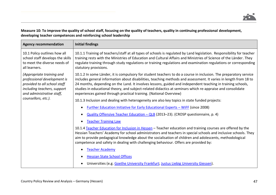

# **Measure 10: To improve the quality of school staff, focusing on the quality of teachers, quality in continuing professional development, developing teacher competences and reinforcing school leadership**

| <b>Agency recommendation</b>                                                                                                                         | <b>Initial findings</b>                                                                                                                                                                                                                                                                                                                                                                                                                                                                                                                  |
|------------------------------------------------------------------------------------------------------------------------------------------------------|------------------------------------------------------------------------------------------------------------------------------------------------------------------------------------------------------------------------------------------------------------------------------------------------------------------------------------------------------------------------------------------------------------------------------------------------------------------------------------------------------------------------------------------|
| 10.1 Policy outlines how all<br>school staff develops the skills<br>to meet the diverse needs of<br>all learners.                                    | 10.1.1 Training of teachers/staff at all types of schools is regulated by Land legislation. Responsibility for teacher<br>training rests with the Ministries of Education and Cultural Affairs and Ministries of Science of the Länder. They<br>regulate training through study regulations or training regulations and examination regulations or corresponding<br>statutory provisions.                                                                                                                                                |
| (Appropriate training and<br>professional development is<br>provided to all school staff<br>including teachers, support<br>and administrative staff, | 10.1.2 In some Länder, it is compulsory for student teachers to do a course in inclusion. The preparatory service<br>includes general information about disabilities, teaching methods and assessment. It varies in length from 18 to<br>24 months, depending on the Land. It involves lessons, guided and independent teaching in training schools,<br>studies in educational theory, and subject-related didactics at seminars which re-appraise and consolidate<br>experiences gained through practical training. (National Overview) |
| counsellors, etc.).                                                                                                                                  | 10.1.3 Inclusion and dealing with heterogeneity are also key topics in state funded projects:                                                                                                                                                                                                                                                                                                                                                                                                                                            |
|                                                                                                                                                      | <u>Further Education Initiative for Early Educational Experts - WiFF</u> (since 2008)<br>$\bullet$                                                                                                                                                                                                                                                                                                                                                                                                                                       |
|                                                                                                                                                      | Quality Offensive Teacher Education - QLB (2013-23). (CROSP questionnaire, p. 4)<br>$\bullet$                                                                                                                                                                                                                                                                                                                                                                                                                                            |
|                                                                                                                                                      | <b>Teacher Training Law</b><br>$\bullet$                                                                                                                                                                                                                                                                                                                                                                                                                                                                                                 |
|                                                                                                                                                      | 10.1.4 Teacher Education for Inclusion in Hessen - Teacher education and training courses are offered by the<br>Hessian Teachers' Academy for school administrators and teachers in special schools and inclusive schools. They<br>aim to provide pedagogical knowledge about the socialisation of children and adolescents, methodological<br>competence and safety in dealing with challenging behaviour. Offers are provided by:                                                                                                      |
|                                                                                                                                                      | <b>Teacher Academy</b><br>$\bullet$                                                                                                                                                                                                                                                                                                                                                                                                                                                                                                      |
|                                                                                                                                                      | <b>Hessian State School Offices</b>                                                                                                                                                                                                                                                                                                                                                                                                                                                                                                      |
|                                                                                                                                                      | Universities (e.g. Goethe University Frankfurt; Justus Liebig University Giessen).<br>٠                                                                                                                                                                                                                                                                                                                                                                                                                                                  |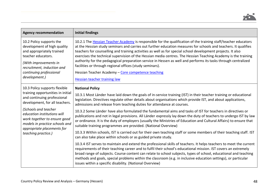

| <b>Agency recommendation</b>                                                                                                                                                                                                                                                                                      | <b>Initial findings</b>                                                                                                                                                                                                                                                                                                                                                                                                                                                                                                                                                                                                                                                                                                                         |
|-------------------------------------------------------------------------------------------------------------------------------------------------------------------------------------------------------------------------------------------------------------------------------------------------------------------|-------------------------------------------------------------------------------------------------------------------------------------------------------------------------------------------------------------------------------------------------------------------------------------------------------------------------------------------------------------------------------------------------------------------------------------------------------------------------------------------------------------------------------------------------------------------------------------------------------------------------------------------------------------------------------------------------------------------------------------------------|
| 10.2 Policy supports the<br>development of high quality<br>and appropriately trained<br>teacher educators.<br>(With improvements in<br>recruitment, induction and<br>continuing professional<br>development.)                                                                                                     | 10.2.1 The Hessian Teacher Academy is responsible for the qualification of the training staff/teacher educators<br>at the Hessian study seminars and carries out further education measures for schools and teachers. It qualifies<br>teachers for counselling and training activities as well as for special school development projects. It also<br>exercises the technical supervision of the Hessian media centres. The Hessian Teaching Academy is the training<br>authority for the pedagogical preparation service in Hessen as well and performs its tasks through centralized<br>facilities or through regional offices (study seminars).<br>Hessian Teacher Academy - Core competence teaching<br><b>Hessian teacher training law</b> |
| 10.3 Policy supports flexible<br>training opportunities in initial<br>and continuing professional<br>development, for all teachers.<br>(Schools and teacher<br>education institutions will<br>work together to ensure good<br>models in practice schools and<br>appropriate placements for<br>teaching practice.) | <b>National Policy</b>                                                                                                                                                                                                                                                                                                                                                                                                                                                                                                                                                                                                                                                                                                                          |
|                                                                                                                                                                                                                                                                                                                   | 10.3.1 Most Länder have laid down the goals of in-service training (IST) in their teacher training or educational<br>legislation. Directives regulate other details about organisations which provide IST, and about applications,<br>admissions and release from teaching duties for attendance at courses.                                                                                                                                                                                                                                                                                                                                                                                                                                    |
|                                                                                                                                                                                                                                                                                                                   | 10.3.2 Some Länder have also formulated the fundamental aims and tasks of IST for teachers in directives or<br>publications and not in legal provisions. All Länder expressly lay down the duty of teachers to undergo IST by law<br>or ordinance. It is the duty of employers (usually the Ministries of Education and Cultural Affairs) to ensure that<br>suitable training programmes are provided. (National Overview)                                                                                                                                                                                                                                                                                                                      |
|                                                                                                                                                                                                                                                                                                                   | 10.3.3 Within schools, IST is carried out for their own teaching staff or some members of their teaching staff. IST<br>can also take place within schools or as guided private study.                                                                                                                                                                                                                                                                                                                                                                                                                                                                                                                                                           |
|                                                                                                                                                                                                                                                                                                                   | 10.3.4 IST serves to maintain and extend the professional skills of teachers. It helps teachers to meet the current<br>requirements of their teaching career and to fulfil their school's educational mission. IST covers an extremely<br>broad range of subjects. Course content can relate to school subjects, types of school, educational and teaching<br>methods and goals, special problems within the classroom (e.g. in inclusive education settings), or particular<br>issues within a specific disability. (National Overview)                                                                                                                                                                                                        |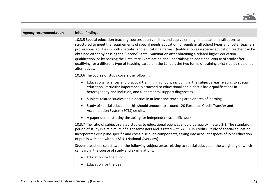

| <b>Agency recommendation</b> | <b>Initial findings</b>                                                                                                                                                                                                                                                                                                                                                                                                                                                                                                                                                                                                                                                                                                    |
|------------------------------|----------------------------------------------------------------------------------------------------------------------------------------------------------------------------------------------------------------------------------------------------------------------------------------------------------------------------------------------------------------------------------------------------------------------------------------------------------------------------------------------------------------------------------------------------------------------------------------------------------------------------------------------------------------------------------------------------------------------------|
|                              | 10.3.5 Special education teaching courses at universities and equivalent higher education institutions are<br>structured to meet the requirements of special needs education for pupils in all school types and foster teachers'<br>professional abilities in both specialist and educational terms. Qualification as a special education teacher can be<br>obtained either by passing the (Second) State Examination after obtaining a related higher education<br>qualification, or by passing the First State Examination and undertaking an additional course of study after<br>qualifying for a different type of teaching career. In the Länder, the two forms of training exist side by side or as<br>alternatives. |
|                              | 10.3.6 The course of study covers the following:                                                                                                                                                                                                                                                                                                                                                                                                                                                                                                                                                                                                                                                                           |
|                              | Educational sciences and practical training in schools, including in the subject areas relating to special<br>$\bullet$<br>education. Particular importance is attached to educational and didactic basic qualifications in<br>heterogeneity and inclusion, and fundamental support diagnostics.                                                                                                                                                                                                                                                                                                                                                                                                                           |
|                              | Subject-related studies and didactics in at least one teaching area or area of learning.                                                                                                                                                                                                                                                                                                                                                                                                                                                                                                                                                                                                                                   |
|                              | Study of special education; this should amount to around 120 European Credit Transfer and<br>Accumulation System (ECTS) credits.                                                                                                                                                                                                                                                                                                                                                                                                                                                                                                                                                                                           |
|                              | A paper demonstrating the ability for independent scientific work.                                                                                                                                                                                                                                                                                                                                                                                                                                                                                                                                                                                                                                                         |
|                              | 10.3.7 The ratio of subject-related studies to educational sciences should be approximately 2:1. The standard<br>period of study is a minimum of eight semesters and is rated with 240 ECTS credits. Study of special education<br>incorporates discipline-specific and cross-discipline components, taking into account aspects of joint education<br>of pupils with and without SEN. (National Overview)                                                                                                                                                                                                                                                                                                                 |
|                              | Student teachers select two of the following subject areas relating to special education, the weighting of which<br>can vary in the course of study and examinations:                                                                                                                                                                                                                                                                                                                                                                                                                                                                                                                                                      |
|                              | Education for the blind                                                                                                                                                                                                                                                                                                                                                                                                                                                                                                                                                                                                                                                                                                    |
|                              | Education for the deaf                                                                                                                                                                                                                                                                                                                                                                                                                                                                                                                                                                                                                                                                                                     |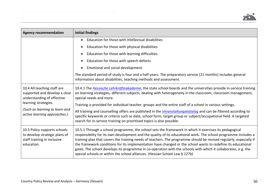

| <b>Agency recommendation</b>                                                                               | <b>Initial findings</b>                                                                                                                                                                                                                                                                                                                                                                                                                                                                                                                                                                                                                                          |
|------------------------------------------------------------------------------------------------------------|------------------------------------------------------------------------------------------------------------------------------------------------------------------------------------------------------------------------------------------------------------------------------------------------------------------------------------------------------------------------------------------------------------------------------------------------------------------------------------------------------------------------------------------------------------------------------------------------------------------------------------------------------------------|
|                                                                                                            | Education for those with intellectual disabilities<br>$\bullet$                                                                                                                                                                                                                                                                                                                                                                                                                                                                                                                                                                                                  |
|                                                                                                            | Education for those with physical disabilities<br>$\bullet$                                                                                                                                                                                                                                                                                                                                                                                                                                                                                                                                                                                                      |
|                                                                                                            | Education for those with learning difficulties<br>$\bullet$                                                                                                                                                                                                                                                                                                                                                                                                                                                                                                                                                                                                      |
|                                                                                                            | Education for those with speech defects                                                                                                                                                                                                                                                                                                                                                                                                                                                                                                                                                                                                                          |
|                                                                                                            | Emotional and social development.                                                                                                                                                                                                                                                                                                                                                                                                                                                                                                                                                                                                                                |
|                                                                                                            | The standard period of study is four and a half years. The preparatory service (21 months) includes general<br>information about disabilities, teaching methods and assessment.                                                                                                                                                                                                                                                                                                                                                                                                                                                                                  |
| 10.4 All teaching staff are<br>supported and develop a clear<br>understanding of effective                 | 10.4.1 The Hessische Lehrkräfteakademie, the state school boards and the universities provide in-service training<br>on learning strategies, different subjects, dealing with heterogeneity in the classroom, classroom management,<br>special needs and more.                                                                                                                                                                                                                                                                                                                                                                                                   |
| learning strategies.                                                                                       | Training is provided for individual teacher, groups and the entire staff of a school in various settings.                                                                                                                                                                                                                                                                                                                                                                                                                                                                                                                                                        |
| (Such as learning to learn and<br>active learning approaches.)                                             | All training and counselling offers are published in the Veranstaltungskatalog and can be filtered according to<br>specific keywords or criteria such as date, school form, target group or subject/occupational field. A targeted<br>search for in-service training on prioritised topics is also possible.                                                                                                                                                                                                                                                                                                                                                     |
| 10.5 Policy supports schools<br>to develop strategic plans of<br>staff training in inclusive<br>education. | 10.5.1 Through a school programme, the school sets the framework in which it exercises its pedagogical<br>responsibility for its own development and the quality of its educational work. The school programme includes a<br>training plan that covers the training needs of teachers. The programme should be revised regularly, especially if<br>the framework conditions for its implementation have changed or the school wants to redefine its educational<br>goals. The school develops its programme in co-operation with the schools with which it collaborates, e.g. the<br>special schools or within the school alliances. (Hessian School Law § 127b) |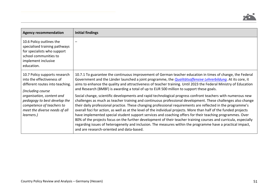| <b>Agency recommendation</b>                                                                                                                           | Initial findings                                                                                                                                                                                                                                                                                                                                                                                                                                                                                                                                                                                                                                                                                                                                                                                                                                               |
|--------------------------------------------------------------------------------------------------------------------------------------------------------|----------------------------------------------------------------------------------------------------------------------------------------------------------------------------------------------------------------------------------------------------------------------------------------------------------------------------------------------------------------------------------------------------------------------------------------------------------------------------------------------------------------------------------------------------------------------------------------------------------------------------------------------------------------------------------------------------------------------------------------------------------------------------------------------------------------------------------------------------------------|
| 10.6 Policy outlines the<br>specialised training pathways<br>for specialists who support<br>school communities to<br>implement inclusive<br>education. |                                                                                                                                                                                                                                                                                                                                                                                                                                                                                                                                                                                                                                                                                                                                                                                                                                                                |
| 10.7 Policy supports research<br>into the effectiveness of<br>different routes into teaching.<br>(Including course                                     | 10.7.1 To guarantee the continuous improvement of German teacher education in times of change, the Federal<br>Government and the Länder launched a joint programme, the <i>Qualitätsoffensive Lehrerbildung</i> . At its core, it<br>aims to enhance the quality and attractiveness of teacher training. Until 2023 the Federal Ministry of Education<br>and Research (BMBF) is awarding a total of up to EUR 500 million to support these goals.                                                                                                                                                                                                                                                                                                                                                                                                              |
| organisation, content and<br>pedagogy to best develop the<br>competence of teachers to<br>meet the diverse needs of all<br>learners.)                  | Social change, scientific developments and rapid technological progress confront teachers with numerous new<br>challenges as much as teacher training and continuous professional development. These challenges also change<br>their daily professional practice. These changing professional requirements are reflected in the programme's<br>overall foci for action, as well as at the level of the individual projects. More than half of the funded projects<br>have implemented special student support services and coaching offers for their teaching programmes. Over<br>80% of the projects focus on the further development of their teacher training courses and curricula, especially<br>regarding issues of heterogeneity and inclusion. The measures within the programme have a practical impact,<br>and are research-oriented and data-based. |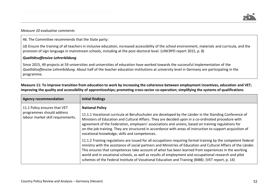

#### *Measure 10 evaluative comments*

46. The Committee recommends that the State party:

(d) Ensure the training of all teachers in inclusive education, increased accessibility of the school environment, materials and curricula, and the provision of sign language in mainstream schools, including at the post-doctoral level. (UNCRPD report 2015, p. 8)

#### *Qualitätsoffensive Lehrerbildung*

Since 2015, 49 projects at 59 universities and universities of education have worked towards the successful implementation of the *Qualitätsoffensive Lehrerbildung*. About half of the teacher education institutions at university level in Germany are participating in the programme.

| <b>Agency recommendation</b>                                                                   | <b>Initial findings</b>                                                                                                                                                                                                                                                                                                                                                                                                                                                                                                                               |
|------------------------------------------------------------------------------------------------|-------------------------------------------------------------------------------------------------------------------------------------------------------------------------------------------------------------------------------------------------------------------------------------------------------------------------------------------------------------------------------------------------------------------------------------------------------------------------------------------------------------------------------------------------------|
| 11.1 Policy ensures that VET<br>programmes should address<br>labour market skill requirements. | <b>National Policy</b><br>11.1.1 Vocational curricula at Berufsschulen are developed by the Länder in the Standing Conference of<br>Ministers of Education and Cultural Affairs. They are decided upon in a co-ordinated procedure with<br>agreement of the Federation, employers' associations and unions, based on training regulations for<br>on-the-job training. They are structured in accordance with areas of instruction to support acquisition of<br>vocational knowledge, skills and competences.                                          |
|                                                                                                | 11.1.2 Training regulations are issued for all occupations requiring formal training by the competent federal<br>ministry with the assistance of social partners and Ministries of Education and Cultural Affairs of the Länder.<br>This ensures that competences take account of what has been learned from experiences in the working<br>world and in vocational schools, as well as results of employment and occupational research and pilot<br>schemes of the Federal Institute of Vocational Education and Training (BIBB). (VET report, p. 14) |

**Measure 11: To improve transition from education to work by increasing the coherence between employment incentives, education and VET; improving the quality and accessibility of apprenticeships; promoting cross-sector co-operation; simplifying the systems of qualifications**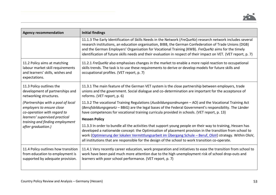

| <b>Agency recommendation</b>                                                                                                                                                              | <b>Initial findings</b>                                                                                                                                                                                                                                                                                                                                                                                                                         |
|-------------------------------------------------------------------------------------------------------------------------------------------------------------------------------------------|-------------------------------------------------------------------------------------------------------------------------------------------------------------------------------------------------------------------------------------------------------------------------------------------------------------------------------------------------------------------------------------------------------------------------------------------------|
|                                                                                                                                                                                           | 11.1.3 The Early Identification of Skills Needs in the Network (FreQueNz) research network includes several<br>research institutions, an education organisation, BIBB, the German Confederation of Trade Unions (DGB)<br>and the German Employers' Organisation for Vocational Training (KWB). FreQueNz aims for the timely<br>identification of future skills needs and their evaluation in respect of their impact on VET. (VET report, p. 7) |
| 11.2 Policy aims at matching<br>labour market skill requirements<br>and learners' skills, wishes and<br>expectations.                                                                     | 11.2.1 FreQueNz also emphasises changes in the market to enable a more rapid reaction to occupational<br>skills trends. The task is to use these requirements to derive or develop models for future skills and<br>occupational profiles. (VET report, p. 7)                                                                                                                                                                                    |
| 11.3 Policy outlines the<br>development of partnerships and<br>networking structures.                                                                                                     | 11.3.1 The main feature of the German VET system is the close partnership between employers, trade<br>unions and the government. Social dialogue and co-determination are important for the acceptance of<br>reforms. (VET report, p. 6)                                                                                                                                                                                                        |
| (Partnerships with a pool of local<br>employers to ensure close<br>co-operation with regard to<br>learners' supervised practical<br>training and finding employment<br>after graduation.) | 11.3.2 The vocational Training Regulations (Ausbildungsordnungen - AO) and the Vocational Training Act<br>(Berufsbildungsgesetz - BBiG) are the legal bases of the Federal Government's responsibility. The Länder<br>have competences for vocational training curricula provided in schools. (VET report, p. 13)                                                                                                                               |
|                                                                                                                                                                                           | <b>Hessen Policy</b>                                                                                                                                                                                                                                                                                                                                                                                                                            |
|                                                                                                                                                                                           | 11.3.3 In order to bundle all the activities that support young people on their way to training, Hessen has<br>developed a nationwide concept: the Optimisation of placement provision in the transition from school to<br>work (Optimierung der lokalen Vermittlungsarbeit im Übergang Schule - Beruf, OloV) strategy. Within OloV,<br>all institutions that are responsible for the design of the school to work transition co-operate.       |
| 11.4 Policy outlines how transition<br>from education to employment is<br>supported by adequate provision.                                                                                | 11.4.1 Very recently career education, work preparation and initiatives to ease the transition from school to<br>work have been paid much more attention due to the high unemployment risk of school drop-outs and<br>learners with poor school performance. (VET report, p. 7)                                                                                                                                                                 |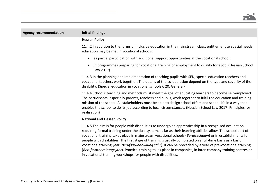

| <b>Agency recommendation</b> | <b>Initial findings</b>                                                                                                                                                                                                                                                                                                                                                                                                                                                                                                                                                                                                                                                                                                                             |
|------------------------------|-----------------------------------------------------------------------------------------------------------------------------------------------------------------------------------------------------------------------------------------------------------------------------------------------------------------------------------------------------------------------------------------------------------------------------------------------------------------------------------------------------------------------------------------------------------------------------------------------------------------------------------------------------------------------------------------------------------------------------------------------------|
|                              | <b>Hessen Policy</b>                                                                                                                                                                                                                                                                                                                                                                                                                                                                                                                                                                                                                                                                                                                                |
|                              | 11.4.2 In addition to the forms of inclusive education in the mainstream class, entitlement to special needs<br>education may be met in vocational schools:                                                                                                                                                                                                                                                                                                                                                                                                                                                                                                                                                                                         |
|                              | as partial participation with additional support opportunities at the vocational school;<br>$\bullet$                                                                                                                                                                                                                                                                                                                                                                                                                                                                                                                                                                                                                                               |
|                              | in programmes preparing for vocational training or employment to qualify for a job. (Hessian School<br>Law 2017)                                                                                                                                                                                                                                                                                                                                                                                                                                                                                                                                                                                                                                    |
|                              | 11.4.3 In the planning and implementation of teaching pupils with SEN, special education teachers and<br>vocational teachers work together. The details of the co-operation depend on the type and severity of the<br>disability. (Special education in vocational schools § 20: General)                                                                                                                                                                                                                                                                                                                                                                                                                                                           |
|                              | 11.4.4 Schools' teaching and methods must meet the goal of educating learners to become self-employed.<br>The participants, especially parents, teachers and pupils, work together to fulfil the education and training<br>mission of the school. All stakeholders must be able to design school offers and school life in a way that<br>enables the school to do its job according to local circumstances. (Hessian School Law 2017: Principles for<br>realisation)                                                                                                                                                                                                                                                                                |
|                              | <b>National and Hessen Policy</b>                                                                                                                                                                                                                                                                                                                                                                                                                                                                                                                                                                                                                                                                                                                   |
|                              | 11.4.5 The aim is for people with disabilities to undergo an apprenticeship in a recognised occupation<br>requiring formal training under the dual system, as far as their learning abilities allow. The school part of<br>vocational training takes place in mainstream vocational schools (Berufsschulen) or in establishments for<br>people with disabilities. The first stage of training is usually completed on a full-time basis as a basic<br>vocational training year (Berufsgrundbildungsjahr). It can be preceded by a year of pre-vocational training<br>(Berufsvorbereitungsjahr). Practical training takes place in companies, in inter-company training centres or<br>in vocational training workshops for people with disabilities. |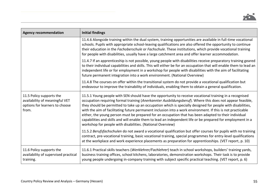| <b>Agency recommendation</b>                                                                          | <b>Initial findings</b>                                                                                                                                                                                                                                                                                                                                                                                                                                                                                                                                                                                                                                                                                                                  |
|-------------------------------------------------------------------------------------------------------|------------------------------------------------------------------------------------------------------------------------------------------------------------------------------------------------------------------------------------------------------------------------------------------------------------------------------------------------------------------------------------------------------------------------------------------------------------------------------------------------------------------------------------------------------------------------------------------------------------------------------------------------------------------------------------------------------------------------------------------|
|                                                                                                       | 11.4.6 Alongside training within the dual system, training opportunities are available in full-time vocational<br>schools. Pupils with appropriate school-leaving qualifications are also offered the opportunity to continue<br>their education in the Fachoberschule or Fachschule. These institutions, which provide vocational training<br>for people with disabilities, usually have a large catchment area and offer learner accommodation.                                                                                                                                                                                                                                                                                        |
|                                                                                                       | 11.4.7 If an apprenticeship is not possible, young people with disabilities receive preparatory training geared<br>to their individual capabilities and skills. This will either be for an occupation that will enable them to lead an<br>independent life or for employment in a workshop for people with disabilities with the aim of facilitating<br>future permanent integration into a work environment. (National Overview)                                                                                                                                                                                                                                                                                                        |
|                                                                                                       | 11.4.8 The courses on offer within the transitional system do not provide a vocational qualification but<br>endeavour to improve the trainability of individuals, enabling them to obtain a general qualification.                                                                                                                                                                                                                                                                                                                                                                                                                                                                                                                       |
| 11.5 Policy supports the<br>availability of meaningful VET<br>options for learners to choose<br>from. | 11.5.1 Young people with SEN should have the opportunity to receive vocational training in a recognised<br>occupation requiring formal training (Anerkannter Ausbildungsberuf). Where this does not appear feasible,<br>they should be permitted to take up an occupation which is specially designed for people with disabilities,<br>with the aim of facilitating future permanent inclusion into a work environment. If this is not practicable<br>either, the young person must be prepared for an occupation that has been adapted to their individual<br>capabilities and skills and will enable them to lead an independent life or be prepared for employment in a<br>workshop for people with disabilities. (National Overview) |
|                                                                                                       | 11.5.2 Berufsfachschulen do not award a vocational qualification but offer courses for pupils with no training<br>contract, pre-vocational training, basic vocational training, special programmes for entry-level qualifications<br>at the workplace and work experience placements as preparation for apprenticeships. (VET report, p. 10)                                                                                                                                                                                                                                                                                                                                                                                             |
| 11.6 Policy supports the<br>availability of supervised practical<br>training.                         | 11.6.1 Practical skills teachers (Werklehrer/Fachlehrer) teach in school workshops, builders' training yards,<br>business training offices, school kitchens, laboratories, demonstration workshops. Their task is to provide<br>young people undergoing in-company training with subject specific practical teaching. (VET report, p. 6)                                                                                                                                                                                                                                                                                                                                                                                                 |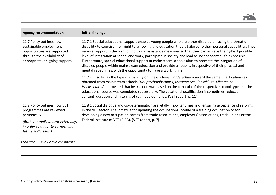

| <b>Agency recommendation</b>                                                                                                                                                | <b>Initial findings</b>                                                                                                                                                                                                                                                                                                                                                                                                                                                                                                                                                                                                                                                                                                                          |
|-----------------------------------------------------------------------------------------------------------------------------------------------------------------------------|--------------------------------------------------------------------------------------------------------------------------------------------------------------------------------------------------------------------------------------------------------------------------------------------------------------------------------------------------------------------------------------------------------------------------------------------------------------------------------------------------------------------------------------------------------------------------------------------------------------------------------------------------------------------------------------------------------------------------------------------------|
| 11.7 Policy outlines how<br>sustainable employment<br>opportunities are supported<br>through the availability of<br>appropriate, on-going support.                          | 11.7.1 Special educational support enables young people who are either disabled or facing the threat of<br>disability to exercise their right to schooling and education that is tailored to their personal capabilities. They<br>receive support in the form of individual assistance measures so that they can achieve the highest possible<br>level of integration at school and work, participate in society and lead as independent a life as possible.<br>Furthermore, special educational support at mainstream schools aims to promote the integration of<br>disabled people within mainstream education and provide all pupils, irrespective of their physical and<br>mental capabilities, with the opportunity to have a working life. |
|                                                                                                                                                                             | 11.7.2 In so far as the type of disability or illness allows, Förderschulen award the same qualifications as<br>obtained from mainstream schools (Hauptschulabschluss, Mittlerer Schulabschluss, Allgemeine<br>Hochschulreife), provided that instruction was based on the curricula of the respective school type and the<br>educational course was completed successfully. The vocational qualification is sometimes reduced in<br>content, duration and in terms of cognitive demands. (VET report, p. 11)                                                                                                                                                                                                                                    |
| 11.8 Policy outlines how VET<br>programmes are reviewed<br>periodically.<br>(Both internally and/or externally)<br>in order to adapt to current and<br>future skill needs.) | 11.8.1 Social dialogue and co-determination are vitally important means of ensuring acceptance of reforms<br>in the VET sector. The initiative for updating the occupational profile of a training occupation or for<br>developing a new occupation comes from trade associations, employers' associations, trade unions or the<br>Federal Institute of VET (BIBB). (VET report, p. 7)                                                                                                                                                                                                                                                                                                                                                           |

# *Measure 11 evaluative comments*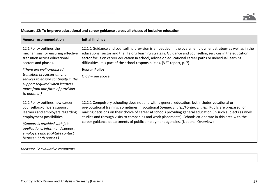| <b>Agency recommendation</b>                                                                                                                                                                                                                                        | <b>Initial findings</b>                                                                                                                                                                                                                                                                                                                                                                                                                                                                                           |
|---------------------------------------------------------------------------------------------------------------------------------------------------------------------------------------------------------------------------------------------------------------------|-------------------------------------------------------------------------------------------------------------------------------------------------------------------------------------------------------------------------------------------------------------------------------------------------------------------------------------------------------------------------------------------------------------------------------------------------------------------------------------------------------------------|
| 12.1 Policy outlines the<br>mechanisms for ensuring effective<br>transition across educational<br>sectors and phases.                                                                                                                                               | 12.1.1 Guidance and counselling provision is embedded in the overall employment strategy as well as in the<br>educational sector and the lifelong learning strategy. Guidance and counselling services in the education<br>sector focus on career education in school, advice on educational career paths or individual learning<br>difficulties. It is part of the school responsibilities. (VET report, p. 7)                                                                                                   |
| (There are well-organised<br>transition processes among<br>services to ensure continuity in the<br>support required when learners<br>move from one form of provision<br>to another.)                                                                                | <b>Hessen Policy</b><br>$O$ loV – see above.                                                                                                                                                                                                                                                                                                                                                                                                                                                                      |
| 12.2 Policy outlines how career<br>counsellors/officers support<br>learners and employers regarding<br>employment possibilities.<br>(Support is provided with job<br>applications, inform and support<br>employers and facilitate contact<br>between both parties.) | 12.2.1 Compulsory schooling does not end with a general education, but includes vocational or<br>pre-vocational training, sometimes in vocational Sonderschulen/Förderschulen. Pupils are prepared for<br>making decisions on their choice of career at schools providing general education (in such subjects as work<br>studies and through visits to companies and work placements). Schools co-operate in this area with the<br>career guidance departments of public employment agencies. (National Overview) |

# **Measure 12: To improve educational and career guidance across all phases of inclusive education**

# *Measure 12 evaluative comments*